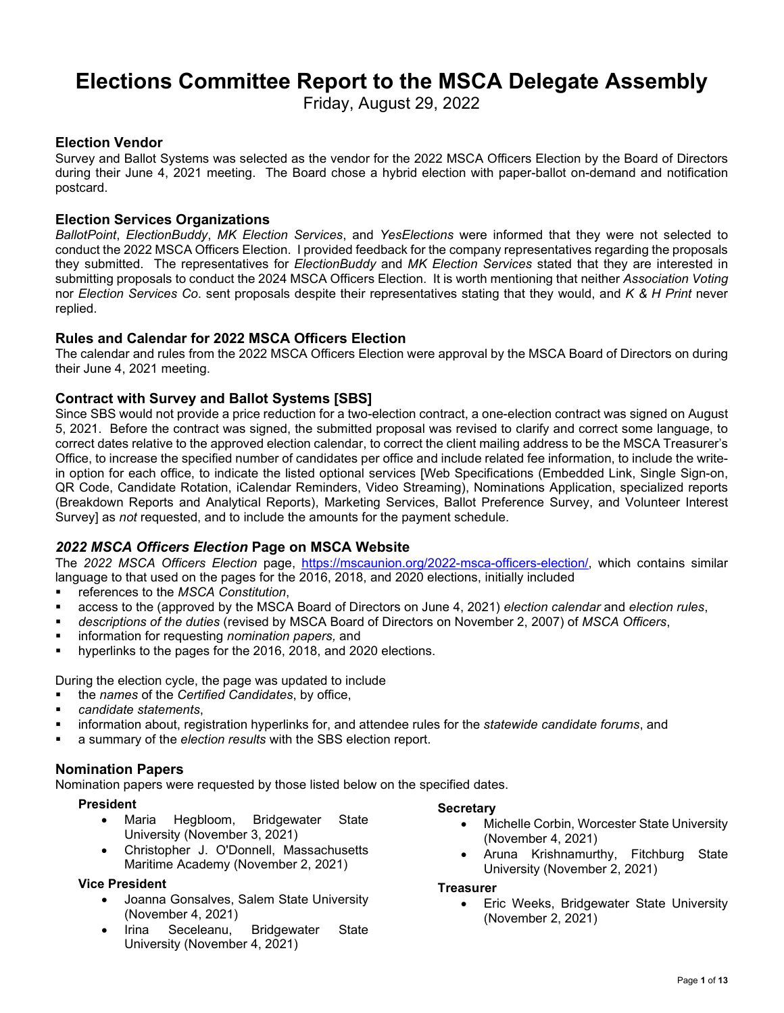# **Elections Committee Report to the MSCA Delegate Assembly**

Friday, August 29, 2022

## **Election Vendor**

Survey and Ballot Systems was selected as the vendor for the 2022 MSCA Officers Election by the Board of Directors during their June 4, 2021 meeting. The Board chose a hybrid election with paper-ballot on-demand and notification postcard.

## **Election Services Organizations**

*BallotPoint*, *ElectionBuddy*, *MK Election Services*, and *YesElections* were informed that they were not selected to conduct the 2022 MSCA Officers Election. I provided feedback for the company representatives regarding the proposals they submitted. The representatives for *ElectionBuddy* and *MK Election Services* stated that they are interested in submitting proposals to conduct the 2024 MSCA Officers Election. It is worth mentioning that neither *Association Voting* nor *Election Services Co*. sent proposals despite their representatives stating that they would, and *K & H Print* never replied.

## **Rules and Calendar for 2022 MSCA Officers Election**

The calendar and rules from the 2022 MSCA Officers Election were approval by the MSCA Board of Directors on during their June 4, 2021 meeting.

## **Contract with Survey and Ballot Systems [SBS]**

Since SBS would not provide a price reduction for a two-election contract, a one-election contract was signed on August 5, 2021. Before the contract was signed, the submitted proposal was revised to clarify and correct some language, to correct dates relative to the approved election calendar, to correct the client mailing address to be the MSCA Treasurer's Office, to increase the specified number of candidates per office and include related fee information, to include the writein option for each office, to indicate the listed optional services [Web Specifications (Embedded Link, Single Sign-on, QR Code, Candidate Rotation, iCalendar Reminders, Video Streaming), Nominations Application, specialized reports (Breakdown Reports and Analytical Reports), Marketing Services, Ballot Preference Survey, and Volunteer Interest Survey] as *not* requested, and to include the amounts for the payment schedule.

## *2022 MSCA Officers Election* **Page on MSCA Website**

The *2022 MSCA Officers Election* page, [https://mscaunion.org/2022-msca-officers-election/,](https://mscaunion.org/2022-msca-officers-election/) which contains similar language to that used on the pages for the 2016, 2018, and 2020 elections, initially included

- references to the *MSCA Constitution*,
- access to the (approved by the MSCA Board of Directors on June 4, 2021) *election calendar* and *election rules*,
- *descriptions of the duties* (revised by MSCA Board of Directors on November 2, 2007) of *MSCA Officers*,
- **EXEDENT** information for requesting *nomination papers*, and
- **•** hyperlinks to the pages for the 2016, 2018, and 2020 elections.

During the election cycle, the page was updated to include

- the *names* of the *Certified Candidates*, by office,
- *candidate statements*,
- information about, registration hyperlinks for, and attendee rules for the *statewide candidate forums*, and
- a summary of the *election results* with the SBS election report.

## **Nomination Papers**

Nomination papers were requested by those listed below on the specified dates.

#### **President**

- Maria Hegbloom, Bridgewater State University (November 3, 2021)
- Christopher J. O'Donnell, Massachusetts Maritime Academy (November 2, 2021)

#### **Vice President**

- Joanna Gonsalves, Salem State University (November 4, 2021)
- Irina Seceleanu, Bridgewater State University (November 4, 2021)

#### **Secretary**

- Michelle Corbin, Worcester State University (November 4, 2021)
- Aruna Krishnamurthy, Fitchburg State University (November 2, 2021)

#### **Treasurer**

• Eric Weeks, Bridgewater State University (November 2, 2021)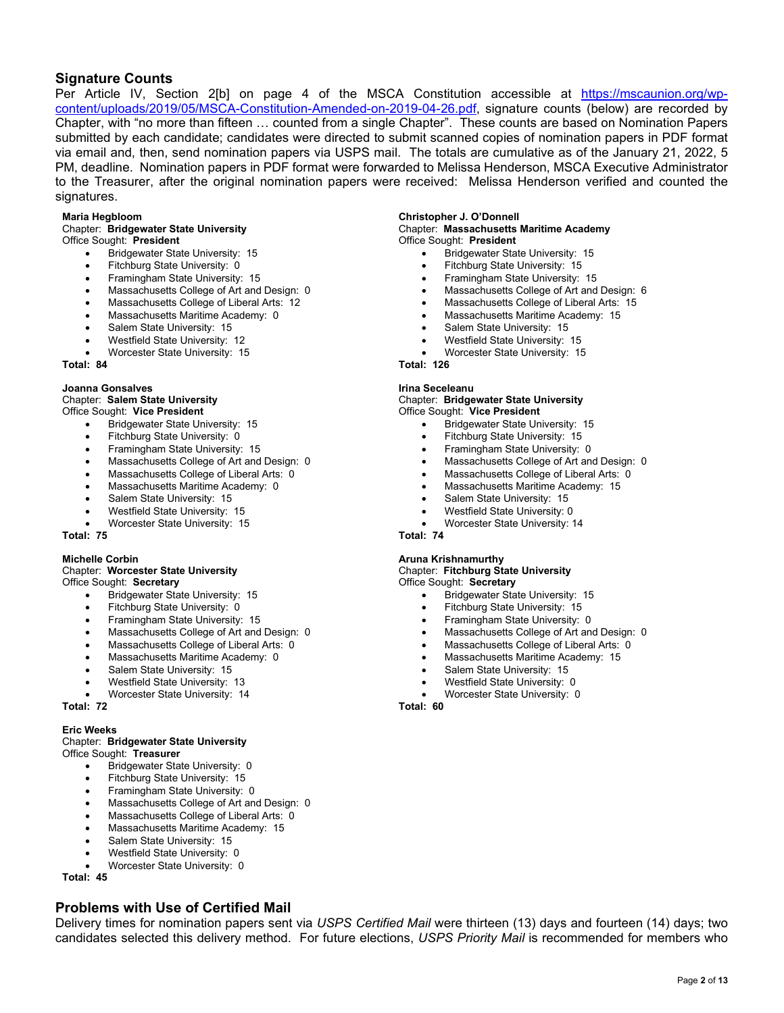## **Signature Counts**

Per Article IV, Section 2[b] on page 4 of the MSCA Constitution accessible at [https://mscaunion.org/wp](https://mscaunion.org/wp-content/uploads/2019/05/MSCA-Constitution-Amended-on-2019-04-26.pdf)[content/uploads/2019/05/MSCA-Constitution-Amended-on-2019-04-26.pdf,](https://mscaunion.org/wp-content/uploads/2019/05/MSCA-Constitution-Amended-on-2019-04-26.pdf) signature counts (below) are recorded by Chapter, with "no more than fifteen … counted from a single Chapter". These counts are based on Nomination Papers submitted by each candidate; candidates were directed to submit scanned copies of nomination papers in PDF format via email and, then, send nomination papers via USPS mail. The totals are cumulative as of the January 21, 2022, 5 PM, deadline. Nomination papers in PDF format were forwarded to Melissa Henderson, MSCA Executive Administrator to the Treasurer, after the original nomination papers were received: Melissa Henderson verified and counted the signatures.

#### **Maria Hegbloom**

# Chapter: **Bridgewater State University**

- Office Sought: **President**
	- Bridgewater State University: 15
	- Fitchburg State University: 0
	- Framingham State University: 15
	- Massachusetts College of Art and Design: 0
	- Massachusetts College of Liberal Arts: 12
	- Massachusetts Maritime Academy: 0
	- Salem State University: 15
	- Westfield State University: 12
	- Worcester State University: 15

**Total: 84**

#### **Joanna Gonsalves**

#### Chapter: **Salem State University**

- Office Sought: **Vice President**
	- Bridgewater State University: 15
	- Fitchburg State University: 0
	- Framingham State University: 15
	- Massachusetts College of Art and Design: 0
	- Massachusetts College of Liberal Arts: 0
	- Massachusetts Maritime Academy: 0
	- Salem State University: 15
	- Westfield State University: 15
	- Worcester State University: 15

**Total: 75**

#### **Michelle Corbin**

#### Chapter: **Worcester State University** Office Sought: **Secretary**

- Bridgewater State University: 15
- Fitchburg State University: 0
- Framingham State University: 15
- Massachusetts College of Art and Design: 0
- Massachusetts College of Liberal Arts: 0
- Massachusetts Maritime Academy: 0
- Salem State University: 15
- Westfield State University: 13
- Worcester State University: 14

**Total: 72**

#### **Eric Weeks**

#### Chapter: **Bridgewater State University** Office Sought: **Treasurer**

- Bridgewater State University: 0
- Fitchburg State University: 15
- Framingham State University: 0
- Massachusetts College of Art and Design: 0
- Massachusetts College of Liberal Arts: 0
- Massachusetts Maritime Academy: 15
- Salem State University: 15
- Westfield State University: 0
- Worcester State University: 0

**Total: 45**

## **Problems with Use of Certified Mail**

Delivery times for nomination papers sent via *USPS Certified Mail* were thirteen (13) days and fourteen (14) days; two candidates selected this delivery method. For future elections, *USPS Priority Mail* is recommended for members who

**Christopher J. O'Donnell**

#### Chapter: **Massachusetts Maritime Academy** Office Sought: **President**

- Bridgewater State University: 15
- Fitchburg State University: 15
- Framingham State University: 15
- Massachusetts College of Art and Design: 6
- Massachusetts College of Liberal Arts: 15
- Massachusetts Maritime Academy: 15
- Salem State University: 15
- Westfield State University: 15
- Worcester State University: 15

**Total: 126**

#### **Irina Seceleanu**

#### Chapter: **Bridgewater State University** Office Sought: **Vice President**

- Bridgewater State University: 15
- Fitchburg State University: 15
- Framingham State University: 0
- Massachusetts College of Art and Design: 0
- Massachusetts College of Liberal Arts: 0
- Massachusetts Maritime Academy: 15
- Salem State University: 15
- Westfield State University: 0
- Worcester State University: 14

**Total: 74**

# **Aruna Krishnamurthy**

#### Chapter: **Fitchburg State University** Office Sought: **Secretary**

- Bridgewater State University: 15
- Fitchburg State University: 15
- Framingham State University: 0
- Massachusetts College of Art and Design: 0
- Massachusetts College of Liberal Arts: 0
- Massachusetts Maritime Academy: 15
- Salem State University: 15
- Westfield State University: 0
- Worcester State University: 0

**Total: 60**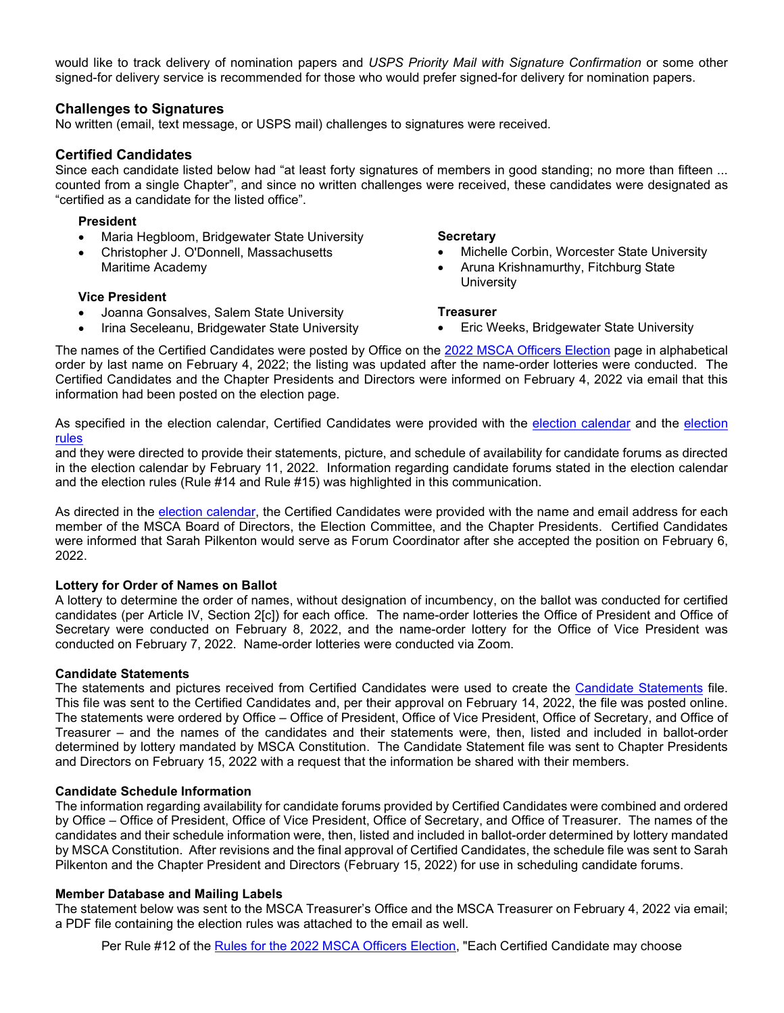would like to track delivery of nomination papers and *USPS Priority Mail with Signature Confirmation* or some other signed-for delivery service is recommended for those who would prefer signed-for delivery for nomination papers.

#### **Challenges to Signatures**

No written (email, text message, or USPS mail) challenges to signatures were received.

#### **Certified Candidates**

Since each candidate listed below had "at least forty signatures of members in good standing; no more than fifteen ... counted from a single Chapter", and since no written challenges were received, these candidates were designated as "certified as a candidate for the listed office".

#### **President**

- Maria Hegbloom, Bridgewater State University
- Christopher J. O'Donnell, Massachusetts Maritime Academy

#### **Secretary**

- Michelle Corbin, Worcester State University
- Aruna Krishnamurthy, Fitchburg State **University**

#### **Vice President**

- Joanna Gonsalves, Salem State University
- Irina Seceleanu, Bridgewater State University

#### **Treasurer**

• Eric Weeks, Bridgewater State University

The names of the Certified Candidates were posted by Office on the [2022 MSCA Officers Election](https://mscaunion.org/2022-msca-officers-election/) page in alphabetical order by last name on February 4, 2022; the listing was updated after the name-order lotteries were conducted. The Certified Candidates and the Chapter Presidents and Directors were informed on February 4, 2022 via email that this information had been posted on the election page.

As specified in the election calendar, Certified Candidates were provided with the [election calendar](https://mscaunion.org/wp-content/uploads/2021/08/2022-Officers-Election__Calendar__Approved_June-4-2021.pdf) and the [election](https://mscaunion.org/wp-content/uploads/2021/08/2022-Officers-Election__Rules__Approved_June-4-2021.pdf)  [rules](https://mscaunion.org/wp-content/uploads/2021/08/2022-Officers-Election__Rules__Approved_June-4-2021.pdf)

and they were directed to provide their statements, picture, and schedule of availability for candidate forums as directed in the election calendar by February 11, 2022. Information regarding candidate forums stated in the election calendar and the election rules (Rule #14 and Rule #15) was highlighted in this communication.

As directed in the [election calendar,](https://mscaunion.org/wp-content/uploads/2021/08/2022-Officers-Election__Calendar__Approved_June-4-2021.pdf) the Certified Candidates were provided with the name and email address for each member of the MSCA Board of Directors, the Election Committee, and the Chapter Presidents. Certified Candidates were informed that Sarah Pilkenton would serve as Forum Coordinator after she accepted the position on February 6, 2022.

#### **Lottery for Order of Names on Ballot**

A lottery to determine the order of names, without designation of incumbency, on the ballot was conducted for certified candidates (per Article IV, Section 2[c]) for each office. The name-order lotteries the Office of President and Office of Secretary were conducted on February 8, 2022, and the name-order lottery for the Office of Vice President was conducted on February 7, 2022. Name-order lotteries were conducted via Zoom.

#### **Candidate Statements**

The statements and pictures received from Certified Candidates were used to create the [Candidate Statements](https://mscaunion.org/wp-content/uploads/2022/02/Candidate-Statements_2022-MSCA-Officers-Election_FINAL.pdf) file. This file was sent to the Certified Candidates and, per their approval on February 14, 2022, the file was posted online. The statements were ordered by Office – Office of President, Office of Vice President, Office of Secretary, and Office of Treasurer – and the names of the candidates and their statements were, then, listed and included in ballot-order determined by lottery mandated by MSCA Constitution. The Candidate Statement file was sent to Chapter Presidents and Directors on February 15, 2022 with a request that the information be shared with their members.

#### **Candidate Schedule Information**

The information regarding availability for candidate forums provided by Certified Candidates were combined and ordered by Office – Office of President, Office of Vice President, Office of Secretary, and Office of Treasurer. The names of the candidates and their schedule information were, then, listed and included in ballot-order determined by lottery mandated by MSCA Constitution. After revisions and the final approval of Certified Candidates, the schedule file was sent to Sarah Pilkenton and the Chapter President and Directors (February 15, 2022) for use in scheduling candidate forums.

#### **Member Database and Mailing Labels**

The statement below was sent to the MSCA Treasurer's Office and the MSCA Treasurer on February 4, 2022 via email; a PDF file containing the election rules was attached to the email as well.

Per Rule #12 of the [Rules for the 2022 MSCA Officers Election,](https://mscaunion.org/wp-content/uploads/2021/08/2022-Officers-Election__Rules__Approved_June-4-2021.pdf) "Each Certified Candidate may choose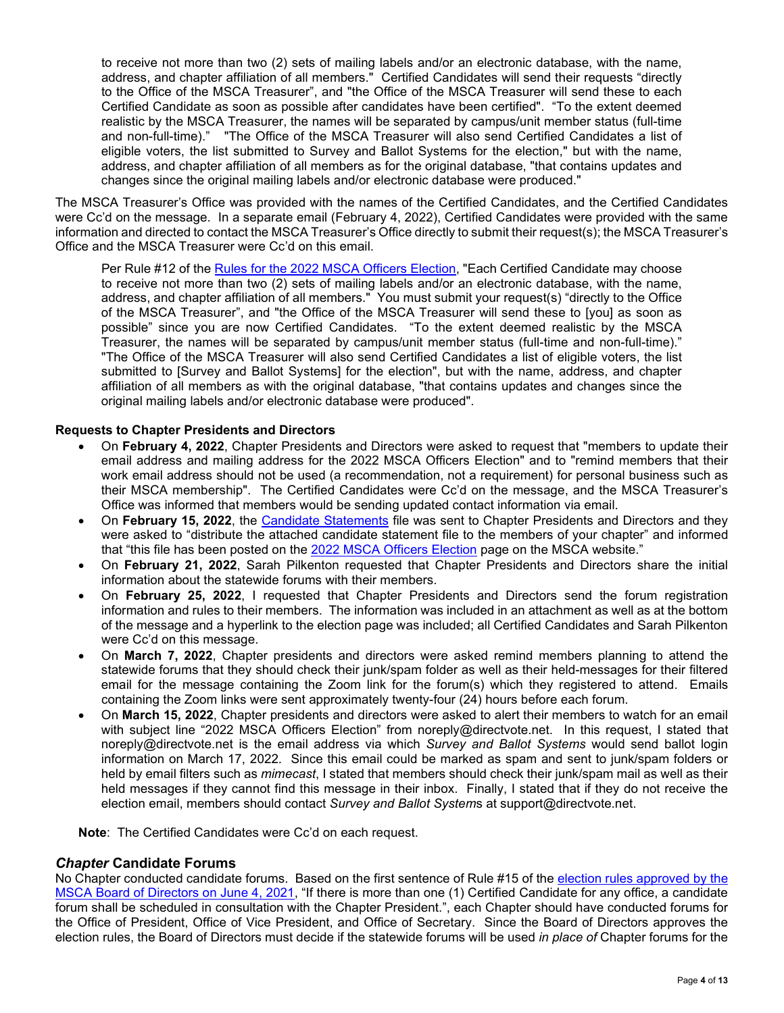to receive not more than two (2) sets of mailing labels and/or an electronic database, with the name, address, and chapter affiliation of all members." Certified Candidates will send their requests "directly to the Office of the MSCA Treasurer", and "the Office of the MSCA Treasurer will send these to each Certified Candidate as soon as possible after candidates have been certified". "To the extent deemed realistic by the MSCA Treasurer, the names will be separated by campus/unit member status (full-time and non-full-time)." "The Office of the MSCA Treasurer will also send Certified Candidates a list of eligible voters, the list submitted to Survey and Ballot Systems for the election," but with the name, address, and chapter affiliation of all members as for the original database, "that contains updates and changes since the original mailing labels and/or electronic database were produced."

The MSCA Treasurer's Office was provided with the names of the Certified Candidates, and the Certified Candidates were Cc'd on the message. In a separate email (February 4, 2022), Certified Candidates were provided with the same information and directed to contact the MSCA Treasurer's Office directly to submit their request(s); the MSCA Treasurer's Office and the MSCA Treasurer were Cc'd on this email.

Per Rule #12 of the [Rules for the 2022 MSCA Officers Election,](https://mscaunion.org/wp-content/uploads/2021/08/2022-Officers-Election__Rules__Approved_June-4-2021.pdf) "Each Certified Candidate may choose to receive not more than two (2) sets of mailing labels and/or an electronic database, with the name, address, and chapter affiliation of all members." You must submit your request(s) "directly to the Office of the MSCA Treasurer", and "the Office of the MSCA Treasurer will send these to [you] as soon as possible" since you are now Certified Candidates. "To the extent deemed realistic by the MSCA Treasurer, the names will be separated by campus/unit member status (full-time and non-full-time)." "The Office of the MSCA Treasurer will also send Certified Candidates a list of eligible voters, the list submitted to [Survey and Ballot Systems] for the election", but with the name, address, and chapter affiliation of all members as with the original database, "that contains updates and changes since the original mailing labels and/or electronic database were produced".

#### **Requests to Chapter Presidents and Directors**

- On **February 4, 2022**, Chapter Presidents and Directors were asked to request that "members to update their email address and mailing address for the 2022 MSCA Officers Election" and to "remind members that their work email address should not be used (a recommendation, not a requirement) for personal business such as their MSCA membership". The Certified Candidates were Cc'd on the message, and the MSCA Treasurer's Office was informed that members would be sending updated contact information via email.
- On **February 15, 2022**, the [Candidate Statements](https://mscaunion.org/wp-content/uploads/2022/02/Candidate-Statements_2022-MSCA-Officers-Election_FINAL.pdf) file was sent to Chapter Presidents and Directors and they were asked to "distribute the attached candidate statement file to the members of your chapter" and informed that "this file has been posted on the [2022 MSCA Officers Election](https://mscaunion.org/2022-msca-officers-election/) page on the MSCA website."
- On **February 21, 2022**, Sarah Pilkenton requested that Chapter Presidents and Directors share the initial information about the statewide forums with their members.
- On **February 25, 2022**, I requested that Chapter Presidents and Directors send the forum registration information and rules to their members. The information was included in an attachment as well as at the bottom of the message and a hyperlink to the election page was included; all Certified Candidates and Sarah Pilkenton were Cc'd on this message.
- On **March 7, 2022**, Chapter presidents and directors were asked remind members planning to attend the statewide forums that they should check their junk/spam folder as well as their held-messages for their filtered email for the message containing the Zoom link for the forum(s) which they registered to attend. Emails containing the Zoom links were sent approximately twenty-four (24) hours before each forum.
- On **March 15, 2022**, Chapter presidents and directors were asked to alert their members to watch for an email with subject line "2022 MSCA Officers Election" from noreply@directvote.net. In this request, I stated that noreply@directvote.net is the email address via which *Survey and Ballot Systems* would send ballot login information on March 17, 2022. Since this email could be marked as spam and sent to junk/spam folders or held by email filters such as *mimecast*, I stated that members should check their junk/spam mail as well as their held messages if they cannot find this message in their inbox. Finally, I stated that if they do not receive the election email, members should contact *Survey and Ballot System*s at support@directvote.net.

**Note**: The Certified Candidates were Cc'd on each request.

## *Chapter* **Candidate Forums**

No Chapter conducted candidate forums. Based on the first sentence of Rule #15 of the [election rules approved by the](https://mscaunion.org/wp-content/uploads/2021/08/2022-Officers-Election__Rules__Approved_June-4-2021.pdf)  [MSCA Board of Directors on June 4, 2021,](https://mscaunion.org/wp-content/uploads/2021/08/2022-Officers-Election__Rules__Approved_June-4-2021.pdf) "If there is more than one (1) Certified Candidate for any office, a candidate forum shall be scheduled in consultation with the Chapter President.", each Chapter should have conducted forums for the Office of President, Office of Vice President, and Office of Secretary. Since the Board of Directors approves the election rules, the Board of Directors must decide if the statewide forums will be used *in place of* Chapter forums for the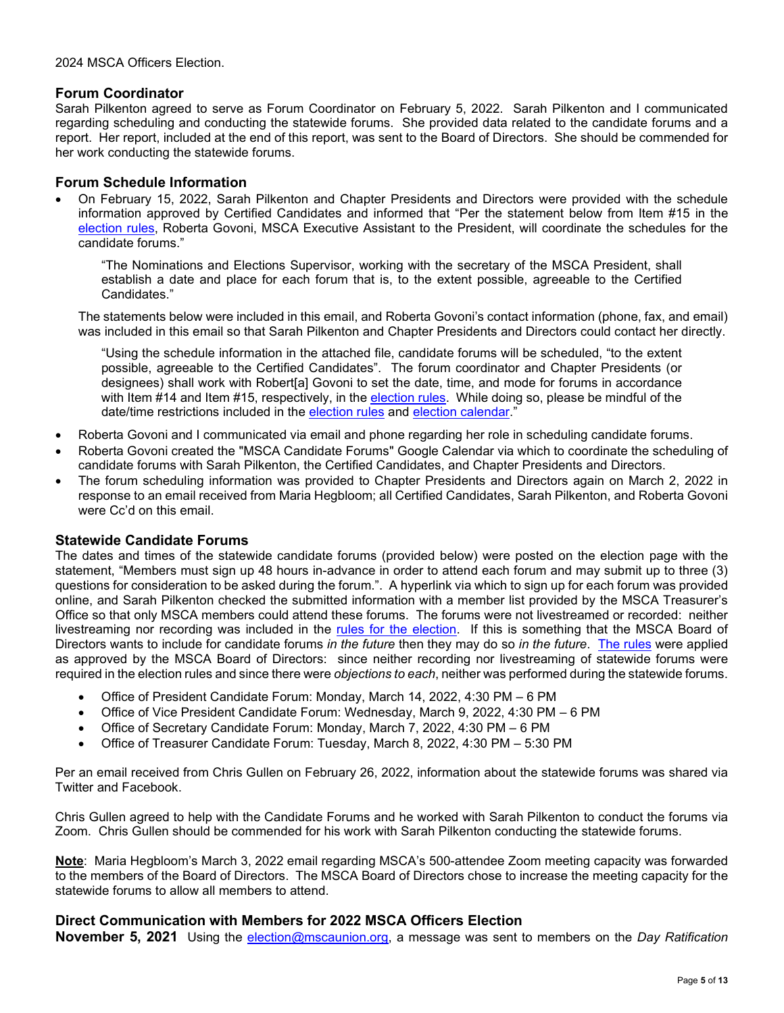## **Forum Coordinator**

Sarah Pilkenton agreed to serve as Forum Coordinator on February 5, 2022. Sarah Pilkenton and I communicated regarding scheduling and conducting the statewide forums. She provided data related to the candidate forums and a report. Her report, included at the end of this report, was sent to the Board of Directors. She should be commended for her work conducting the statewide forums.

## **Forum Schedule Information**

• On February 15, 2022, Sarah Pilkenton and Chapter Presidents and Directors were provided with the schedule information approved by Certified Candidates and informed that "Per the statement below from Item #15 in the [election rules,](https://mscaunion.org/wp-content/uploads/2021/08/2022-Officers-Election__Rules__Approved_June-4-2021.pdf) Roberta Govoni, MSCA Executive Assistant to the President, will coordinate the schedules for the candidate forums."

"The Nominations and Elections Supervisor, working with the secretary of the MSCA President, shall establish a date and place for each forum that is, to the extent possible, agreeable to the Certified Candidates."

The statements below were included in this email, and Roberta Govoni's contact information (phone, fax, and email) was included in this email so that Sarah Pilkenton and Chapter Presidents and Directors could contact her directly.

"Using the schedule information in the attached file, candidate forums will be scheduled, "to the extent possible, agreeable to the Certified Candidates". The forum coordinator and Chapter Presidents (or designees) shall work with Robert[a] Govoni to set the date, time, and mode for forums in accordance with Item #14 and Item #15, respectively, in the [election rules.](https://mscaunion.org/wp-content/uploads/2021/08/2022-Officers-Election__Rules__Approved_June-4-2021.pdf) While doing so, please be mindful of the date/time restrictions included in the [election rules](https://mscaunion.org/wp-content/uploads/2021/08/2022-Officers-Election__Rules__Approved_June-4-2021.pdf) and [election calendar."](https://mscaunion.org/wp-content/uploads/2021/08/2022-Officers-Election__Calendar__Approved_June-4-2021.pdf)

- Roberta Govoni and I communicated via email and phone regarding her role in scheduling candidate forums.
- Roberta Govoni created the "MSCA Candidate Forums" Google Calendar via which to coordinate the scheduling of candidate forums with Sarah Pilkenton, the Certified Candidates, and Chapter Presidents and Directors.
- The forum scheduling information was provided to Chapter Presidents and Directors again on March 2, 2022 in response to an email received from Maria Hegbloom; all Certified Candidates, Sarah Pilkenton, and Roberta Govoni were Cc'd on this email.

## **Statewide Candidate Forums**

The dates and times of the statewide candidate forums (provided below) were posted on the election page with the statement, "Members must sign up 48 hours in-advance in order to attend each forum and may submit up to three (3) questions for consideration to be asked during the forum.". A hyperlink via which to sign up for each forum was provided online, and Sarah Pilkenton checked the submitted information with a member list provided by the MSCA Treasurer's Office so that only MSCA members could attend these forums. The forums were not livestreamed or recorded: neither livestreaming nor recording was included in the [rules for the election.](https://mscaunion.org/wp-content/uploads/2021/08/2022-Officers-Election__Rules__Approved_June-4-2021.pdf) If this is something that the MSCA Board of Directors wants to include for candidate forums *in the future* then they may do so *in the future*. [The rules](https://mscaunion.org/wp-content/uploads/2021/08/2022-Officers-Election__Rules__Approved_June-4-2021.pdf) were applied as approved by the MSCA Board of Directors: since neither recording nor livestreaming of statewide forums were required in the election rules and since there were *objections to each*, neither was performed during the statewide forums.

- Office of President Candidate Forum: Monday, March 14, 2022, 4:30 PM 6 PM
- Office of Vice President Candidate Forum: Wednesday, March 9, 2022, 4:30 PM 6 PM
- Office of Secretary Candidate Forum: Monday, March 7, 2022, 4:30 PM 6 PM
- Office of Treasurer Candidate Forum: Tuesday, March 8, 2022, 4:30 PM 5:30 PM

Per an email received from Chris Gullen on February 26, 2022, information about the statewide forums was shared via Twitter and Facebook.

Chris Gullen agreed to help with the Candidate Forums and he worked with Sarah Pilkenton to conduct the forums via Zoom. Chris Gullen should be commended for his work with Sarah Pilkenton conducting the statewide forums.

**Note**: Maria Hegbloom's March 3, 2022 email regarding MSCA's 500-attendee Zoom meeting capacity was forwarded to the members of the Board of Directors. The MSCA Board of Directors chose to increase the meeting capacity for the statewide forums to allow all members to attend.

## **Direct Communication with Members for 2022 MSCA Officers Election**

**November 5, 2021** Using the [election@mscaunion.org,](mailto:election@mscaunion.org?subject=Election%20Committee%20Report%20to%20MSCA%20Board%20of%20Directors%20for%20November%205,%202021) a message was sent to members on the *Day Ratification*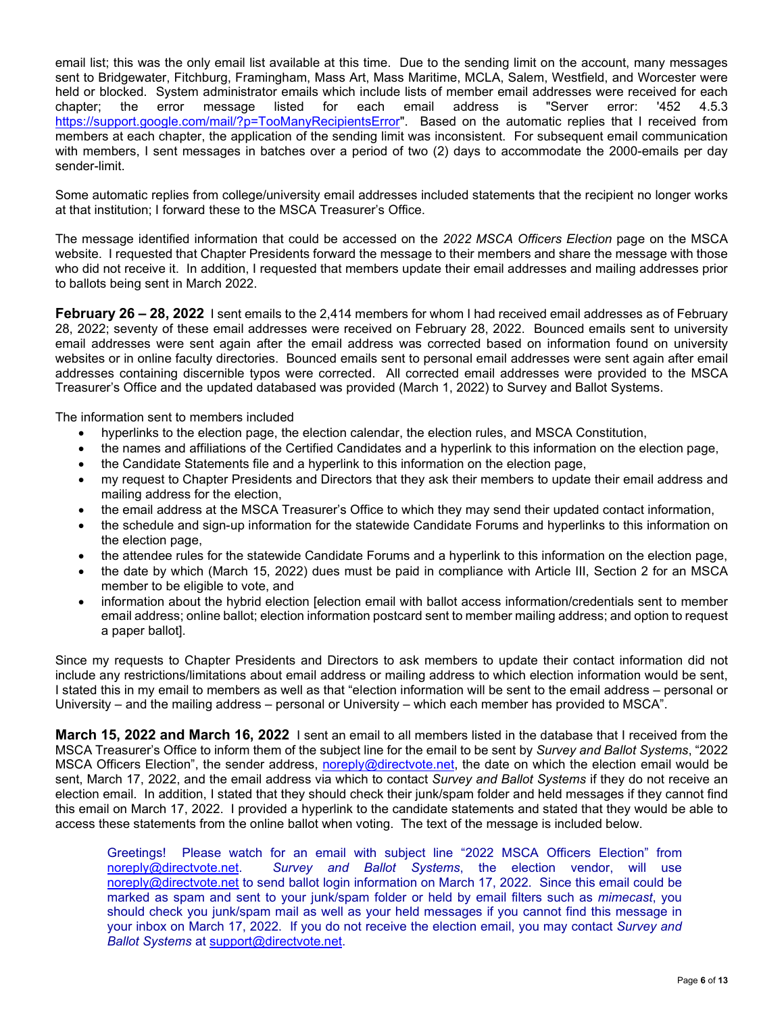email list; this was the only email list available at this time. Due to the sending limit on the account, many messages sent to Bridgewater, Fitchburg, Framingham, Mass Art, Mass Maritime, MCLA, Salem, Westfield, and Worcester were held or blocked. System administrator emails which include lists of member email addresses were received for each chapter; the error message listed for each email address is "Server error: '452 4.5.3 [https://support.google.com/mail/?p=TooManyRecipientsError"](https://support.google.com/mail/?p=TooManyRecipientsError). Based on the automatic replies that I received from members at each chapter, the application of the sending limit was inconsistent. For subsequent email communication with members, I sent messages in batches over a period of two (2) days to accommodate the 2000-emails per day sender-limit.

Some automatic replies from college/university email addresses included statements that the recipient no longer works at that institution; I forward these to the MSCA Treasurer's Office.

The message identified information that could be accessed on the *2022 MSCA Officers Election* page on the MSCA website. I requested that Chapter Presidents forward the message to their members and share the message with those who did not receive it. In addition, I requested that members update their email addresses and mailing addresses prior to ballots being sent in March 2022.

**February 26 – 28, 2022** I sent emails to the 2,414 members for whom I had received email addresses as of February 28, 2022; seventy of these email addresses were received on February 28, 2022. Bounced emails sent to university email addresses were sent again after the email address was corrected based on information found on university websites or in online faculty directories. Bounced emails sent to personal email addresses were sent again after email addresses containing discernible typos were corrected. All corrected email addresses were provided to the MSCA Treasurer's Office and the updated databased was provided (March 1, 2022) to Survey and Ballot Systems.

The information sent to members included

- hyperlinks to the election page, the election calendar, the election rules, and MSCA Constitution,
- the names and affiliations of the Certified Candidates and a hyperlink to this information on the election page,
- the Candidate Statements file and a hyperlink to this information on the election page,
- my request to Chapter Presidents and Directors that they ask their members to update their email address and mailing address for the election,
- the email address at the MSCA Treasurer's Office to which they may send their updated contact information,
- the schedule and sign-up information for the statewide Candidate Forums and hyperlinks to this information on the election page,
- the attendee rules for the statewide Candidate Forums and a hyperlink to this information on the election page,
- the date by which (March 15, 2022) dues must be paid in compliance with Article III, Section 2 for an MSCA member to be eligible to vote, and
- information about the hybrid election [election email with ballot access information/credentials sent to member email address; online ballot; election information postcard sent to member mailing address; and option to request a paper ballot].

Since my requests to Chapter Presidents and Directors to ask members to update their contact information did not include any restrictions/limitations about email address or mailing address to which election information would be sent, I stated this in my email to members as well as that "election information will be sent to the email address – personal or University – and the mailing address – personal or University – which each member has provided to MSCA".

**March 15, 2022 and March 16, 2022** I sent an email to all members listed in the database that I received from the MSCA Treasurer's Office to inform them of the subject line for the email to be sent by *Survey and Ballot Systems*, "2022 MSCA Officers Election", the sender address, [noreply@directvote.net,](mailto:noreply@directvote.net) the date on which the election email would be sent, March 17, 2022, and the email address via which to contact *Survey and Ballot Systems* if they do not receive an election email. In addition, I stated that they should check their junk/spam folder and held messages if they cannot find this email on March 17, 2022. I provided a hyperlink to the candidate statements and stated that they would be able to access these statements from the online ballot when voting. The text of the message is included below.

Greetings! Please watch for an email with subject line "2022 MSCA Officers Election" from [noreply@directvote.net.](mailto:noreply@directvote.net) *Survey and Ballot Systems*, the election vendor, will use [noreply@directvote.net](mailto:noreply@directvote.net) to send ballot login information on March 17, 2022. Since this email could be marked as spam and sent to your junk/spam folder or held by email filters such as *mimecast*, you should check you junk/spam mail as well as your held messages if you cannot find this message in your inbox on March 17, 2022. If you do not receive the election email, you may contact *Survey and Ballot Systems* at [support@directvote.net.](mailto:support@directvote.net?subject=MSCA%20Election:%20%20Did%20not%20Receive%20Ballot%20Login%20Information)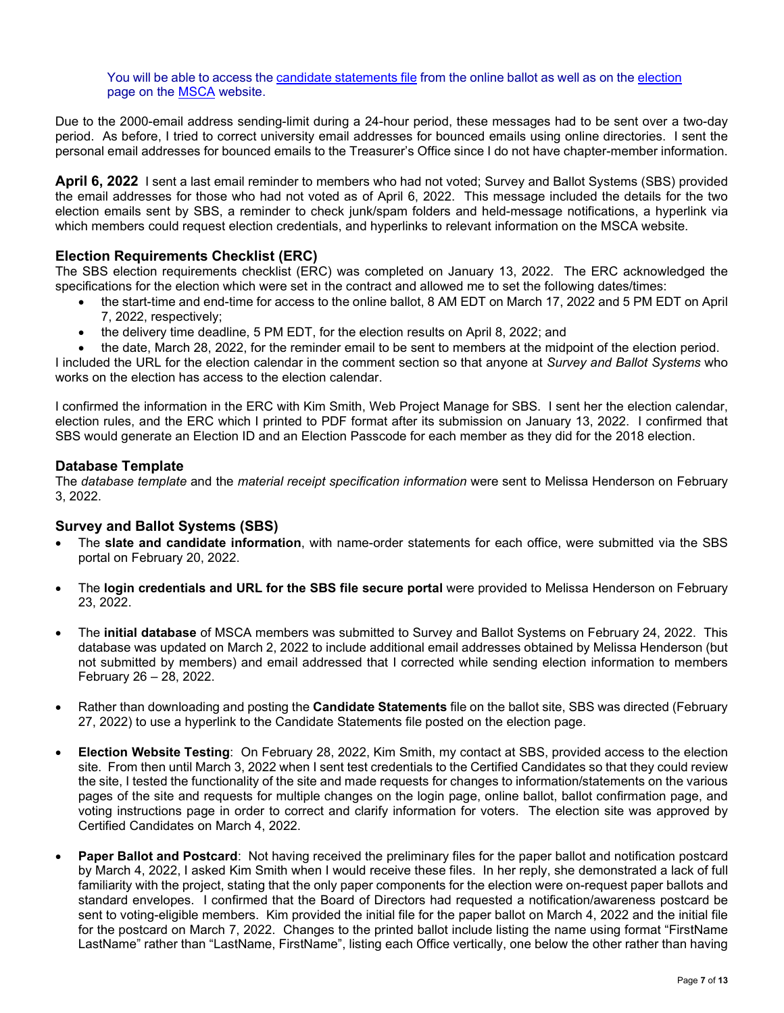You will be able to access the [candidate statements file](https://mscaunion.org/wp-content/uploads/2022/02/Candidate-Statements_2022-MSCA-Officers-Election_FINAL.pdf) from the online ballot as well as on the [election](https://mscaunion.org/2022-msca-officers-election/) page on the [MSCA](https://mscaunion.org/) website.

Due to the 2000-email address sending-limit during a 24-hour period, these messages had to be sent over a two-day period. As before, I tried to correct university email addresses for bounced emails using online directories. I sent the personal email addresses for bounced emails to the Treasurer's Office since I do not have chapter-member information.

**April 6, 2022** I sent a last email reminder to members who had not voted; Survey and Ballot Systems (SBS) provided the email addresses for those who had not voted as of April 6, 2022. This message included the details for the two election emails sent by SBS, a reminder to check junk/spam folders and held-message notifications, a hyperlink via which members could request election credentials, and hyperlinks to relevant information on the MSCA website.

## **Election Requirements Checklist (ERC)**

The SBS election requirements checklist (ERC) was completed on January 13, 2022. The ERC acknowledged the specifications for the election which were set in the contract and allowed me to set the following dates/times:

- the start-time and end-time for access to the online ballot, 8 AM EDT on March 17, 2022 and 5 PM EDT on April 7, 2022, respectively;
- the delivery time deadline, 5 PM EDT, for the election results on April 8, 2022; and
- the date, March 28, 2022, for the reminder email to be sent to members at the midpoint of the election period. I included the URL for the election calendar in the comment section so that anyone at *Survey and Ballot Systems* who works on the election has access to the election calendar.

I confirmed the information in the ERC with Kim Smith, Web Project Manage for SBS. I sent her the election calendar, election rules, and the ERC which I printed to PDF format after its submission on January 13, 2022. I confirmed that SBS would generate an Election ID and an Election Passcode for each member as they did for the 2018 election.

#### **Database Template**

The *database template* and the *material receipt specification information* were sent to Melissa Henderson on February 3, 2022.

## **Survey and Ballot Systems (SBS)**

- The **slate and candidate information**, with name-order statements for each office, were submitted via the SBS portal on February 20, 2022.
- The **login credentials and URL for the SBS file secure portal** were provided to Melissa Henderson on February 23, 2022.
- The **initial database** of MSCA members was submitted to Survey and Ballot Systems on February 24, 2022. This database was updated on March 2, 2022 to include additional email addresses obtained by Melissa Henderson (but not submitted by members) and email addressed that I corrected while sending election information to members February 26 – 28, 2022.
- Rather than downloading and posting the **Candidate Statements** file on the ballot site, SBS was directed (February 27, 2022) to use a hyperlink to the Candidate Statements file posted on the election page.
- **Election Website Testing**: On February 28, 2022, Kim Smith, my contact at SBS, provided access to the election site. From then until March 3, 2022 when I sent test credentials to the Certified Candidates so that they could review the site, I tested the functionality of the site and made requests for changes to information/statements on the various pages of the site and requests for multiple changes on the login page, online ballot, ballot confirmation page, and voting instructions page in order to correct and clarify information for voters. The election site was approved by Certified Candidates on March 4, 2022.
- **Paper Ballot and Postcard**: Not having received the preliminary files for the paper ballot and notification postcard by March 4, 2022, I asked Kim Smith when I would receive these files. In her reply, she demonstrated a lack of full familiarity with the project, stating that the only paper components for the election were on-request paper ballots and standard envelopes. I confirmed that the Board of Directors had requested a notification/awareness postcard be sent to voting-eligible members. Kim provided the initial file for the paper ballot on March 4, 2022 and the initial file for the postcard on March 7, 2022. Changes to the printed ballot include listing the name using format "FirstName LastName" rather than "LastName, FirstName", listing each Office vertically, one below the other rather than having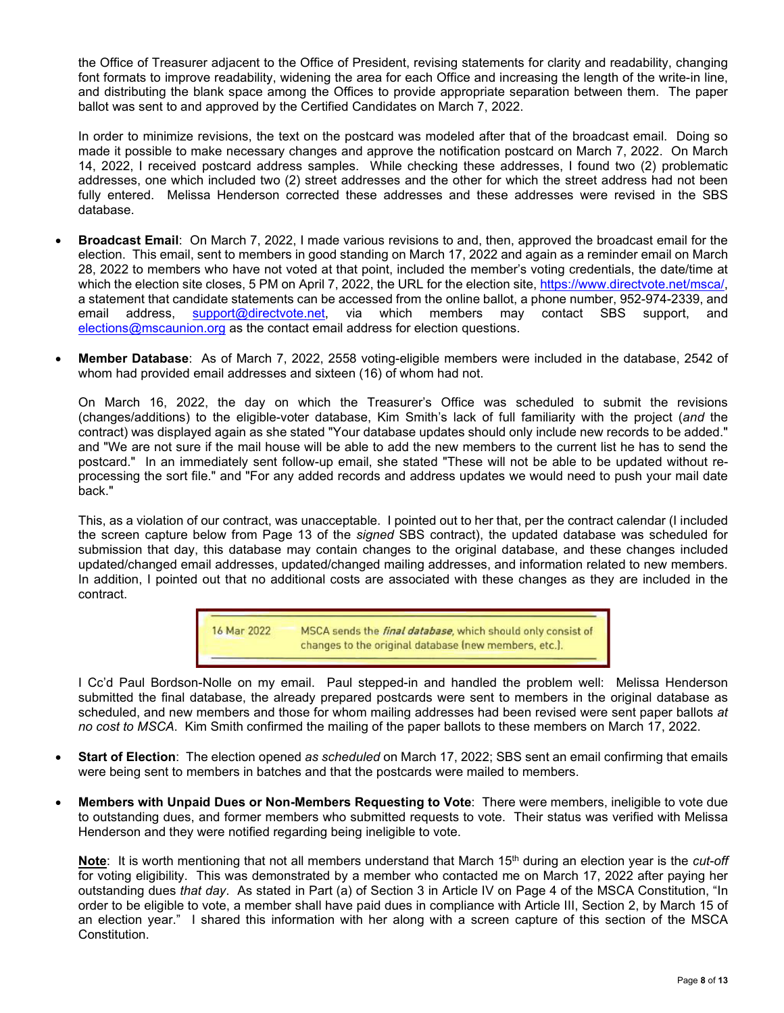the Office of Treasurer adjacent to the Office of President, revising statements for clarity and readability, changing font formats to improve readability, widening the area for each Office and increasing the length of the write-in line, and distributing the blank space among the Offices to provide appropriate separation between them. The paper ballot was sent to and approved by the Certified Candidates on March 7, 2022.

In order to minimize revisions, the text on the postcard was modeled after that of the broadcast email. Doing so made it possible to make necessary changes and approve the notification postcard on March 7, 2022. On March 14, 2022, I received postcard address samples. While checking these addresses, I found two (2) problematic addresses, one which included two (2) street addresses and the other for which the street address had not been fully entered. Melissa Henderson corrected these addresses and these addresses were revised in the SBS database.

- **Broadcast Email**: On March 7, 2022, I made various revisions to and, then, approved the broadcast email for the election. This email, sent to members in good standing on March 17, 2022 and again as a reminder email on March 28, 2022 to members who have not voted at that point, included the member's voting credentials, the date/time at which the election site closes, 5 PM on April 7, 2022, the URL for the election site, [https://www.directvote.net/msca/,](https://www.directvote.net/msca/) a statement that candidate statements can be accessed from the online ballot, a phone number, 952-974-2339, and email address, [support@directvote.net,](mailto:support@directvote.net) via which members may contact SBS support, and [elections@mscaunion.org](mailto:elections@mscaunion.org) as the contact email address for election questions.
- **Member Database**: As of March 7, 2022, 2558 voting-eligible members were included in the database, 2542 of whom had provided email addresses and sixteen (16) of whom had not.

On March 16, 2022, the day on which the Treasurer's Office was scheduled to submit the revisions (changes/additions) to the eligible-voter database, Kim Smith's lack of full familiarity with the project (*and* the contract) was displayed again as she stated "Your database updates should only include new records to be added." and "We are not sure if the mail house will be able to add the new members to the current list he has to send the postcard." In an immediately sent follow-up email, she stated "These will not be able to be updated without reprocessing the sort file." and "For any added records and address updates we would need to push your mail date back."

This, as a violation of our contract, was unacceptable. I pointed out to her that, per the contract calendar (I included the screen capture below from Page 13 of the *signed* SBS contract), the updated database was scheduled for submission that day, this database may contain changes to the original database, and these changes included updated/changed email addresses, updated/changed mailing addresses, and information related to new members. In addition, I pointed out that no additional costs are associated with these changes as they are included in the contract.



I Cc'd Paul Bordson-Nolle on my email. Paul stepped-in and handled the problem well: Melissa Henderson submitted the final database, the already prepared postcards were sent to members in the original database as scheduled, and new members and those for whom mailing addresses had been revised were sent paper ballots *at no cost to MSCA*. Kim Smith confirmed the mailing of the paper ballots to these members on March 17, 2022.

- **Start of Election**: The election opened *as scheduled* on March 17, 2022; SBS sent an email confirming that emails were being sent to members in batches and that the postcards were mailed to members.
- **Members with Unpaid Dues or Non-Members Requesting to Vote**: There were members, ineligible to vote due to outstanding dues, and former members who submitted requests to vote. Their status was verified with Melissa Henderson and they were notified regarding being ineligible to vote.

Note: It is worth mentioning that not all members understand that March 15<sup>th</sup> during an election year is the *cut-off* for voting eligibility. This was demonstrated by a member who contacted me on March 17, 2022 after paying her outstanding dues *that day*. As stated in Part (a) of Section 3 in Article IV on Page 4 of the MSCA Constitution, "In order to be eligible to vote, a member shall have paid dues in compliance with Article III, Section 2, by March 15 of an election year." I shared this information with her along with a screen capture of this section of the MSCA Constitution.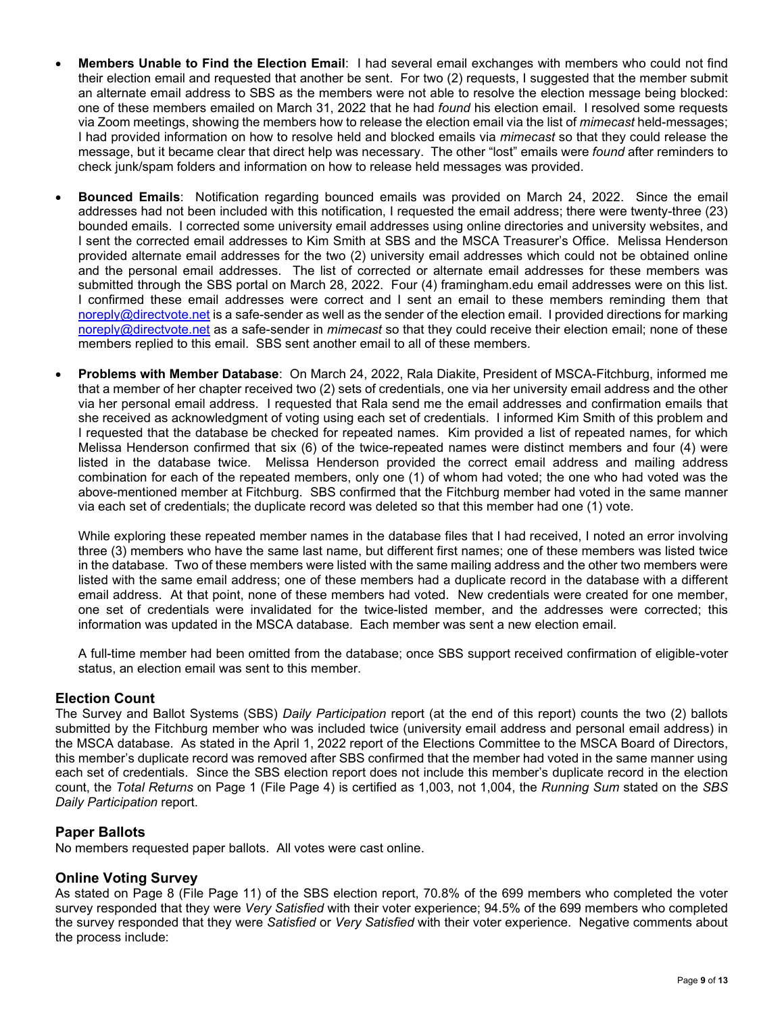- **Members Unable to Find the Election Email**: I had several email exchanges with members who could not find their election email and requested that another be sent. For two (2) requests, I suggested that the member submit an alternate email address to SBS as the members were not able to resolve the election message being blocked: one of these members emailed on March 31, 2022 that he had *found* his election email. I resolved some requests via Zoom meetings, showing the members how to release the election email via the list of *mimecast* held-messages; I had provided information on how to resolve held and blocked emails via *mimecast* so that they could release the message, but it became clear that direct help was necessary. The other "lost" emails were *found* after reminders to check junk/spam folders and information on how to release held messages was provided.
- **Bounced Emails**: Notification regarding bounced emails was provided on March 24, 2022. Since the email addresses had not been included with this notification, I requested the email address; there were twenty-three (23) bounded emails. I corrected some university email addresses using online directories and university websites, and I sent the corrected email addresses to Kim Smith at SBS and the MSCA Treasurer's Office. Melissa Henderson provided alternate email addresses for the two (2) university email addresses which could not be obtained online and the personal email addresses. The list of corrected or alternate email addresses for these members was submitted through the SBS portal on March 28, 2022. Four (4) framingham.edu email addresses were on this list. I confirmed these email addresses were correct and I sent an email to these members reminding them that [noreply@directvote.net](mailto:noreply@directvote.net) is a safe-sender as well as the sender of the election email. I provided directions for marking [noreply@directvote.net](mailto:noreply@directvote.net) as a safe-sender in *mimecast* so that they could receive their election email; none of these members replied to this email. SBS sent another email to all of these members.
- **Problems with Member Database**: On March 24, 2022, Rala Diakite, President of MSCA-Fitchburg, informed me that a member of her chapter received two (2) sets of credentials, one via her university email address and the other via her personal email address. I requested that Rala send me the email addresses and confirmation emails that she received as acknowledgment of voting using each set of credentials. I informed Kim Smith of this problem and I requested that the database be checked for repeated names. Kim provided a list of repeated names, for which Melissa Henderson confirmed that six (6) of the twice-repeated names were distinct members and four (4) were listed in the database twice. Melissa Henderson provided the correct email address and mailing address combination for each of the repeated members, only one (1) of whom had voted; the one who had voted was the above-mentioned member at Fitchburg. SBS confirmed that the Fitchburg member had voted in the same manner via each set of credentials; the duplicate record was deleted so that this member had one (1) vote.

While exploring these repeated member names in the database files that I had received, I noted an error involving three (3) members who have the same last name, but different first names; one of these members was listed twice in the database. Two of these members were listed with the same mailing address and the other two members were listed with the same email address; one of these members had a duplicate record in the database with a different email address. At that point, none of these members had voted. New credentials were created for one member, one set of credentials were invalidated for the twice-listed member, and the addresses were corrected; this information was updated in the MSCA database. Each member was sent a new election email.

A full-time member had been omitted from the database; once SBS support received confirmation of eligible-voter status, an election email was sent to this member.

## **Election Count**

The Survey and Ballot Systems (SBS) *Daily Participation* report (at the end of this report) counts the two (2) ballots submitted by the Fitchburg member who was included twice (university email address and personal email address) in the MSCA database. As stated in the April 1, 2022 report of the Elections Committee to the MSCA Board of Directors, this member's duplicate record was removed after SBS confirmed that the member had voted in the same manner using each set of credentials. Since the SBS election report does not include this member's duplicate record in the election count, the *Total Returns* on Page 1 (File Page 4) is certified as 1,003, not 1,004, the *Running Sum* stated on the *SBS Daily Participation* report.

# **Paper Ballots**

No members requested paper ballots. All votes were cast online.

# **Online Voting Survey**

As stated on Page 8 (File Page 11) of the SBS election report, 70.8% of the 699 members who completed the voter survey responded that they were *Very Satisfied* with their voter experience; 94.5% of the 699 members who completed the survey responded that they were *Satisfied* or *Very Satisfied* with their voter experience. Negative comments about the process include: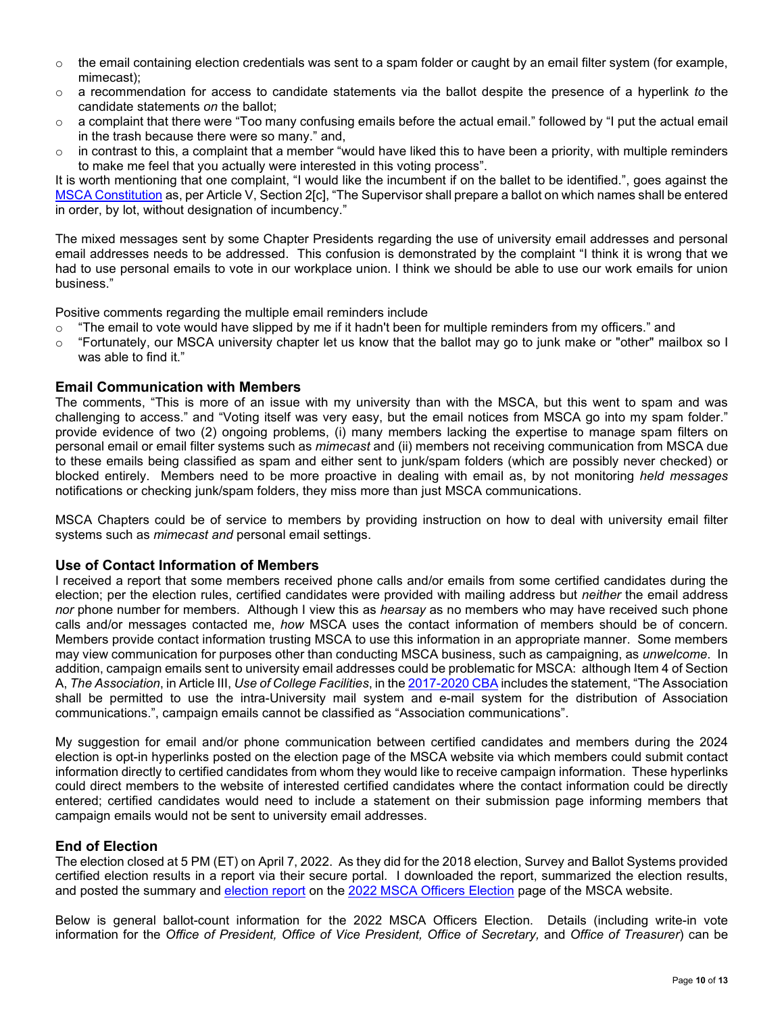- $\circ$  the email containing election credentials was sent to a spam folder or caught by an email filter system (for example, mimecast);
- o a recommendation for access to candidate statements via the ballot despite the presence of a hyperlink *to* the candidate statements *on* the ballot;
- $\circ$  a complaint that there were "Too many confusing emails before the actual email." followed by "I put the actual email in the trash because there were so many." and,
- $\circ$  in contrast to this, a complaint that a member "would have liked this to have been a priority, with multiple reminders to make me feel that you actually were interested in this voting process".

It is worth mentioning that one complaint, "I would like the incumbent if on the ballet to be identified.", goes against the [MSCA Constitution](https://mscaunion.org/wp-content/uploads/2019/05/MSCA-Constitution-Amended-on-2019-04-26.pdf) as, per Article V, Section 2[c], "The Supervisor shall prepare a ballot on which names shall be entered in order, by lot, without designation of incumbency."

The mixed messages sent by some Chapter Presidents regarding the use of university email addresses and personal email addresses needs to be addressed. This confusion is demonstrated by the complaint "I think it is wrong that we had to use personal emails to vote in our workplace union. I think we should be able to use our work emails for union business."

Positive comments regarding the multiple email reminders include

- o "The email to vote would have slipped by me if it hadn't been for multiple reminders from my officers." and<br>○ "Fortunately lour MSCA university chapter let us know that the ballot may go to junk make or "other" mai
- "Fortunately, our MSCA university chapter let us know that the ballot may go to junk make or "other" mailbox so I was able to find it."

#### **Email Communication with Members**

The comments, "This is more of an issue with my university than with the MSCA, but this went to spam and was challenging to access." and "Voting itself was very easy, but the email notices from MSCA go into my spam folder." provide evidence of two (2) ongoing problems, (i) many members lacking the expertise to manage spam filters on personal email or email filter systems such as *mimecast* and (ii) members not receiving communication from MSCA due to these emails being classified as spam and either sent to junk/spam folders (which are possibly never checked) or blocked entirely. Members need to be more proactive in dealing with email as, by not monitoring *held messages* notifications or checking junk/spam folders, they miss more than just MSCA communications.

MSCA Chapters could be of service to members by providing instruction on how to deal with university email filter systems such as *mimecast and* personal email settings.

#### **Use of Contact Information of Members**

I received a report that some members received phone calls and/or emails from some certified candidates during the election; per the election rules, certified candidates were provided with mailing address but *neither* the email address *nor* phone number for members. Although I view this as *hearsay* as no members who may have received such phone calls and/or messages contacted me, *how* MSCA uses the contact information of members should be of concern. Members provide contact information trusting MSCA to use this information in an appropriate manner. Some members may view communication for purposes other than conducting MSCA business, such as campaigning, as *unwelcome*. In addition, campaign emails sent to university email addresses could be problematic for MSCA: although Item 4 of Section A, *The Association*, in Article III, *Use of College Facilities*, in the [2017-2020 CBA](https://mscaunion.org/wp-content/uploads/2020/11/MSCA-Day-CBA-2017-2020-Final-2020-11-26.pdf) includes the statement, "The Association shall be permitted to use the intra-University mail system and e-mail system for the distribution of Association communications.", campaign emails cannot be classified as "Association communications".

My suggestion for email and/or phone communication between certified candidates and members during the 2024 election is opt-in hyperlinks posted on the election page of the MSCA website via which members could submit contact information directly to certified candidates from whom they would like to receive campaign information. These hyperlinks could direct members to the website of interested certified candidates where the contact information could be directly entered; certified candidates would need to include a statement on their submission page informing members that campaign emails would not be sent to university email addresses.

#### **End of Election**

The election closed at 5 PM (ET) on April 7, 2022. As they did for the 2018 election, Survey and Ballot Systems provided certified election results in a report via their secure portal. I downloaded the report, summarized the election results, and posted the summary and [election report](https://mscaunion.org/wp-content/uploads/2022/04/22-MSCA-Final-Report-Certified.pdf) on the [2022 MSCA Officers Election](https://mscaunion.org/2022-msca-officers-election/) page of the MSCA website.

Below is general ballot-count information for the 2022 MSCA Officers Election. Details (including write-in vote information for the *Office of President, Office of Vice President, Office of Secretary,* and *Office of Treasurer*) can be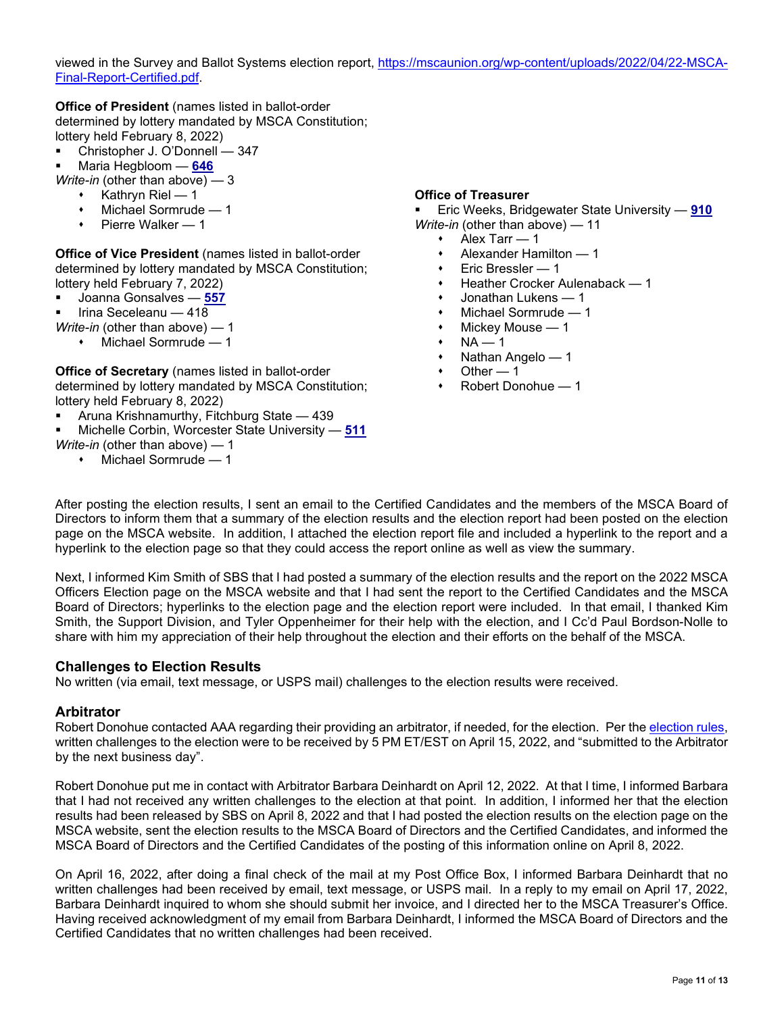viewed in the Survey and Ballot Systems election report, [https://mscaunion.org/wp-content/uploads/2022/04/22-MSCA-](https://mscaunion.org/wp-content/uploads/2022/04/22-MSCA-Final-Report-Certified.pdf)[Final-Report-Certified.pdf.](https://mscaunion.org/wp-content/uploads/2022/04/22-MSCA-Final-Report-Certified.pdf)

**Office of President** (names listed in ballot-order determined by lottery mandated by MSCA Constitution; lottery held February 8, 2022)

- Christopher J. O'Donnell 347
- Maria Hegbloom **646**

*Write-in* (other than above) — 3

- $\cdot$  Kathryn Riel 1
- Michael Sormrude 1
- $\cdot$  Pierre Walker 1

**Office of Vice President** (names listed in ballot-order determined by lottery mandated by MSCA Constitution; lottery held February 7, 2022)

- Joanna Gonsalves **557**
- Irina Seceleanu 418

*Write-in* (other than above) — 1

Michael Sormrude — 1

**Office of Secretary** (names listed in ballot-order determined by lottery mandated by MSCA Constitution; lottery held February 8, 2022)

- Aruna Krishnamurthy, Fitchburg State 439
- Michelle Corbin, Worcester State University **511**
- *Write-in* (other than above) 1
	- Michael Sormrude 1

**Office of Treasurer**

Eric Weeks, Bridgewater State University — **910**

- *Write-in* (other than above) 11
	- Alex Tarr 1
	- Alexander Hamilton 1
	- Eric Bressler 1
	- Heather Crocker Aulenaback 1
	- Jonathan Lukens 1
	- Michael Sormrude 1
	- Mickey Mouse 1
	- $NA 1$
	- $\cdot$  Nathan Angelo 1
	- Other  $-1$
	- Robert Donohue 1

After posting the election results, I sent an email to the Certified Candidates and the members of the MSCA Board of Directors to inform them that a summary of the election results and the election report had been posted on the election page on the MSCA website. In addition, I attached the election report file and included a hyperlink to the report and a hyperlink to the election page so that they could access the report online as well as view the summary.

Next, I informed Kim Smith of SBS that I had posted a summary of the election results and the report on the 2022 MSCA Officers Election page on the MSCA website and that I had sent the report to the Certified Candidates and the MSCA Board of Directors; hyperlinks to the election page and the election report were included. In that email, I thanked Kim Smith, the Support Division, and Tyler Oppenheimer for their help with the election, and I Cc'd Paul Bordson-Nolle to share with him my appreciation of their help throughout the election and their efforts on the behalf of the MSCA.

#### **Challenges to Election Results**

No written (via email, text message, or USPS mail) challenges to the election results were received.

#### **Arbitrator**

Robert Donohue contacted AAA regarding their providing an arbitrator, if needed, for the election. Per th[e election rules,](https://mscaunion.org/wp-content/uploads/2021/08/2022-Officers-Election__Calendar__Approved_June-4-2021.pdf) written challenges to the election were to be received by 5 PM ET/EST on April 15, 2022, and "submitted to the Arbitrator by the next business day".

Robert Donohue put me in contact with Arbitrator Barbara Deinhardt on April 12, 2022. At that I time, I informed Barbara that I had not received any written challenges to the election at that point. In addition, I informed her that the election results had been released by SBS on April 8, 2022 and that I had posted the election results on the election page on the MSCA website, sent the election results to the MSCA Board of Directors and the Certified Candidates, and informed the MSCA Board of Directors and the Certified Candidates of the posting of this information online on April 8, 2022.

On April 16, 2022, after doing a final check of the mail at my Post Office Box, I informed Barbara Deinhardt that no written challenges had been received by email, text message, or USPS mail. In a reply to my email on April 17, 2022, Barbara Deinhardt inquired to whom she should submit her invoice, and I directed her to the MSCA Treasurer's Office. Having received acknowledgment of my email from Barbara Deinhardt, I informed the MSCA Board of Directors and the Certified Candidates that no written challenges had been received.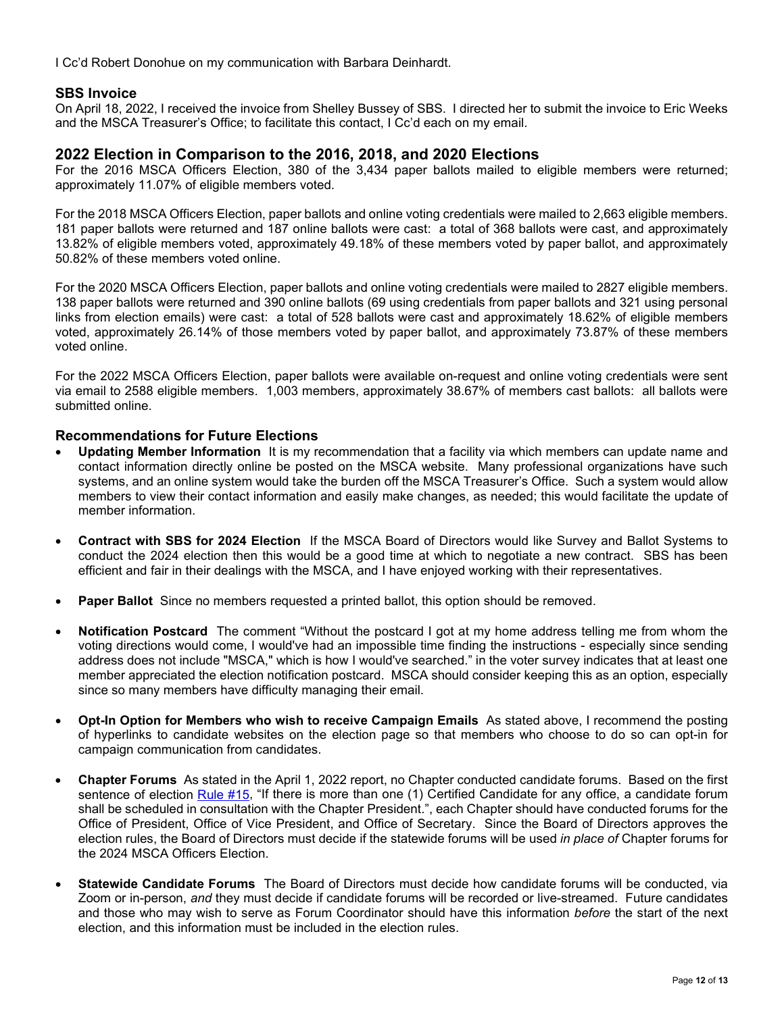I Cc'd Robert Donohue on my communication with Barbara Deinhardt.

## **SBS Invoice**

On April 18, 2022, I received the invoice from Shelley Bussey of SBS. I directed her to submit the invoice to Eric Weeks and the MSCA Treasurer's Office; to facilitate this contact, I Cc'd each on my email.

## **2022 Election in Comparison to the 2016, 2018, and 2020 Elections**

For the 2016 MSCA Officers Election, 380 of the 3,434 paper ballots mailed to eligible members were returned; approximately 11.07% of eligible members voted.

For the 2018 MSCA Officers Election, paper ballots and online voting credentials were mailed to 2,663 eligible members. 181 paper ballots were returned and 187 online ballots were cast: a total of 368 ballots were cast, and approximately 13.82% of eligible members voted, approximately 49.18% of these members voted by paper ballot, and approximately 50.82% of these members voted online.

For the 2020 MSCA Officers Election, paper ballots and online voting credentials were mailed to 2827 eligible members. 138 paper ballots were returned and 390 online ballots (69 using credentials from paper ballots and 321 using personal links from election emails) were cast: a total of 528 ballots were cast and approximately 18.62% of eligible members voted, approximately 26.14% of those members voted by paper ballot, and approximately 73.87% of these members voted online.

For the 2022 MSCA Officers Election, paper ballots were available on-request and online voting credentials were sent via email to 2588 eligible members. 1,003 members, approximately 38.67% of members cast ballots: all ballots were submitted online.

#### **Recommendations for Future Elections**

- **Updating Member Information** It is my recommendation that a facility via which members can update name and contact information directly online be posted on the MSCA website. Many professional organizations have such systems, and an online system would take the burden off the MSCA Treasurer's Office. Such a system would allow members to view their contact information and easily make changes, as needed; this would facilitate the update of member information.
- **Contract with SBS for 2024 Election** If the MSCA Board of Directors would like Survey and Ballot Systems to conduct the 2024 election then this would be a good time at which to negotiate a new contract. SBS has been efficient and fair in their dealings with the MSCA, and I have enjoyed working with their representatives.
- **Paper Ballot** Since no members requested a printed ballot, this option should be removed.
- **Notification Postcard** The comment "Without the postcard I got at my home address telling me from whom the voting directions would come, I would've had an impossible time finding the instructions - especially since sending address does not include "MSCA," which is how I would've searched." in the voter survey indicates that at least one member appreciated the election notification postcard. MSCA should consider keeping this as an option, especially since so many members have difficulty managing their email.
- **Opt-In Option for Members who wish to receive Campaign Emails** As stated above, I recommend the posting of hyperlinks to candidate websites on the election page so that members who choose to do so can opt-in for campaign communication from candidates.
- **Chapter Forums** As stated in the April 1, 2022 report, no Chapter conducted candidate forums. Based on the first sentence of election [Rule #15,](https://mscaunion.org/wp-content/uploads/2021/08/2022-Officers-Election__Rules__Approved_June-4-2021.pdf) "If there is more than one (1) Certified Candidate for any office, a candidate forum shall be scheduled in consultation with the Chapter President.", each Chapter should have conducted forums for the Office of President, Office of Vice President, and Office of Secretary. Since the Board of Directors approves the election rules, the Board of Directors must decide if the statewide forums will be used *in place of* Chapter forums for the 2024 MSCA Officers Election.
- **Statewide Candidate Forums** The Board of Directors must decide how candidate forums will be conducted, via Zoom or in-person, *and* they must decide if candidate forums will be recorded or live-streamed. Future candidates and those who may wish to serve as Forum Coordinator should have this information *before* the start of the next election, and this information must be included in the election rules.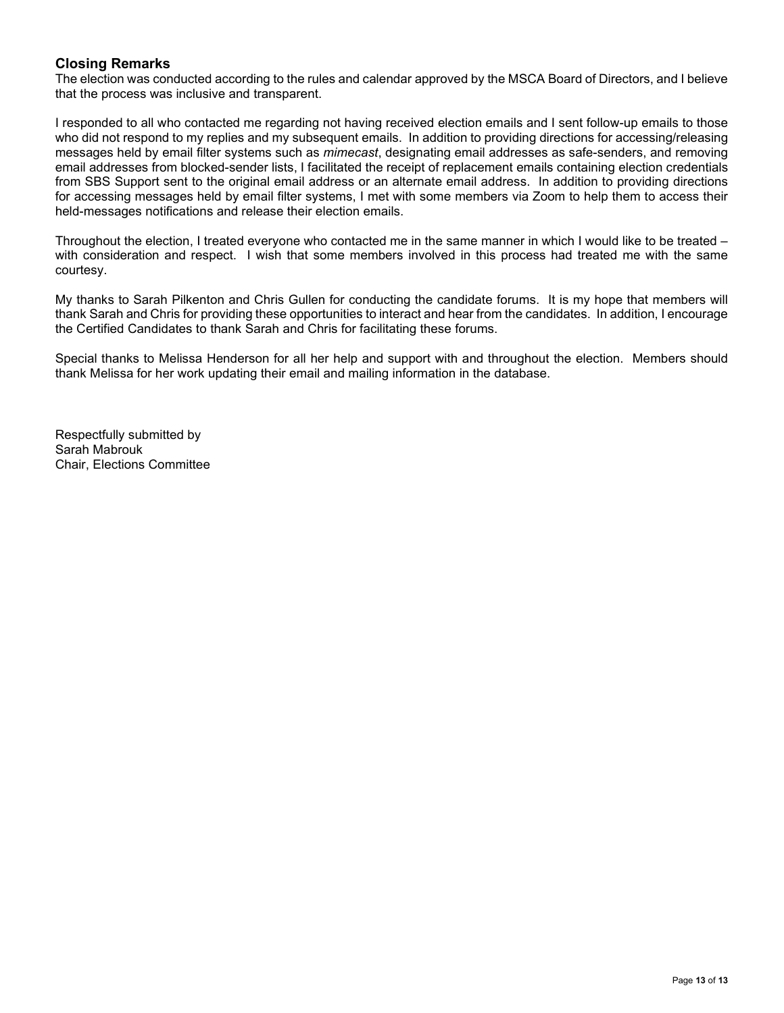## **Closing Remarks**

The election was conducted according to the rules and calendar approved by the MSCA Board of Directors, and I believe that the process was inclusive and transparent.

I responded to all who contacted me regarding not having received election emails and I sent follow-up emails to those who did not respond to my replies and my subsequent emails. In addition to providing directions for accessing/releasing messages held by email filter systems such as *mimecast*, designating email addresses as safe-senders, and removing email addresses from blocked-sender lists, I facilitated the receipt of replacement emails containing election credentials from SBS Support sent to the original email address or an alternate email address. In addition to providing directions for accessing messages held by email filter systems, I met with some members via Zoom to help them to access their held-messages notifications and release their election emails.

Throughout the election, I treated everyone who contacted me in the same manner in which I would like to be treated – with consideration and respect. I wish that some members involved in this process had treated me with the same courtesy.

My thanks to Sarah Pilkenton and Chris Gullen for conducting the candidate forums. It is my hope that members will thank Sarah and Chris for providing these opportunities to interact and hear from the candidates. In addition, I encourage the Certified Candidates to thank Sarah and Chris for facilitating these forums.

Special thanks to Melissa Henderson for all her help and support with and throughout the election. Members should thank Melissa for her work updating their email and mailing information in the database.

Respectfully submitted by Sarah Mabrouk Chair, Elections Committee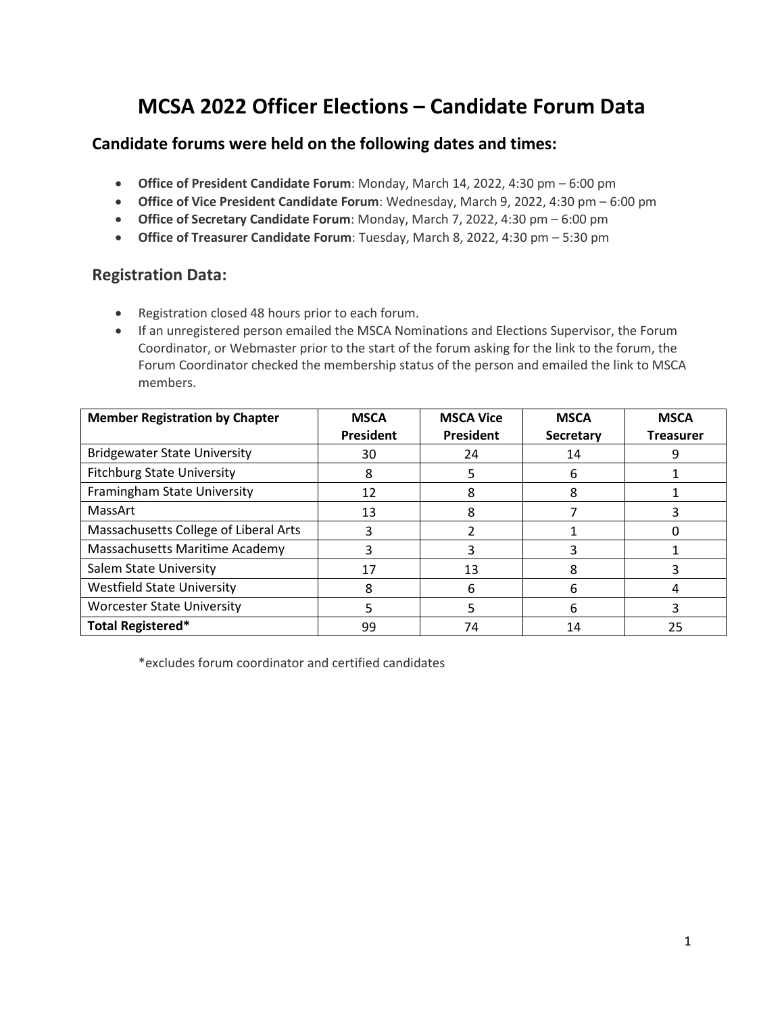# **MCSA 2022 Officer Elections – Candidate Forum Data**

# **Candidate forums were held on the following dates and times:**

- **Office of President Candidate Forum**: Monday, March 14, 2022, 4:30 pm 6:00 pm
- **Office of Vice President Candidate Forum**: Wednesday, March 9, 2022, 4:30 pm 6:00 pm
- **Office of Secretary Candidate Forum**: Monday, March 7, 2022, 4:30 pm 6:00 pm
- **Office of Treasurer Candidate Forum**: Tuesday, March 8, 2022, 4:30 pm 5:30 pm

# **Registration Data:**

- Registration closed 48 hours prior to each forum.
- If an unregistered person emailed the MSCA Nominations and Elections Supervisor, the Forum Coordinator, or Webmaster prior to the start of the forum asking for the link to the forum, the Forum Coordinator checked the membership status of the person and emailed the link to MSCA members.

| <b>Member Registration by Chapter</b> | <b>MSCA</b><br>President | <b>MSCA Vice</b><br>President | <b>MSCA</b><br>Secretary | <b>MSCA</b><br><b>Treasurer</b> |
|---------------------------------------|--------------------------|-------------------------------|--------------------------|---------------------------------|
| <b>Bridgewater State University</b>   | 30                       | 24                            | 14                       |                                 |
| <b>Fitchburg State University</b>     | 8                        |                               | 6                        |                                 |
| Framingham State University           | 12                       | 8                             | 8                        |                                 |
| MassArt                               | 13                       | 8                             |                          |                                 |
| Massachusetts College of Liberal Arts |                          |                               |                          |                                 |
| Massachusetts Maritime Academy        |                          |                               |                          |                                 |
| Salem State University                | 17                       | 13                            |                          |                                 |
| <b>Westfield State University</b>     |                          | h                             | h                        |                                 |
| <b>Worcester State University</b>     |                          |                               | 6                        |                                 |
| Total Registered*                     | 99                       | 74                            | 14                       | 25                              |

\*excludes forum coordinator and certified candidates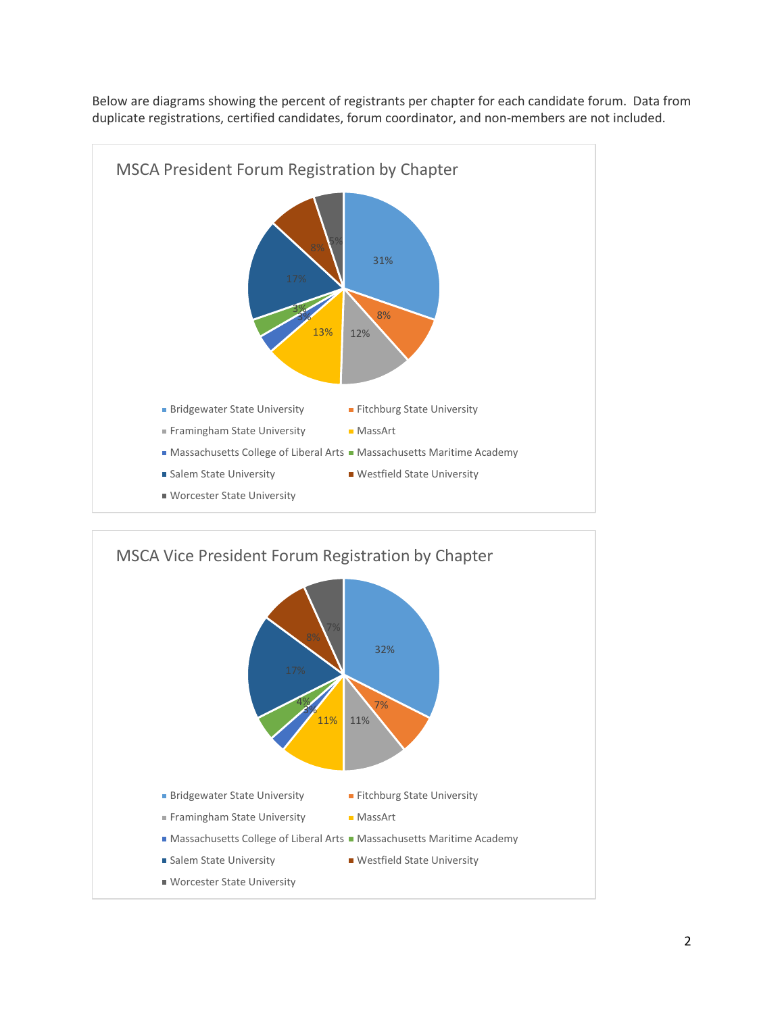

Below are diagrams showing the percent of registrants per chapter for each candidate forum. Data from duplicate registrations, certified candidates, forum coordinator, and non-members are not included.

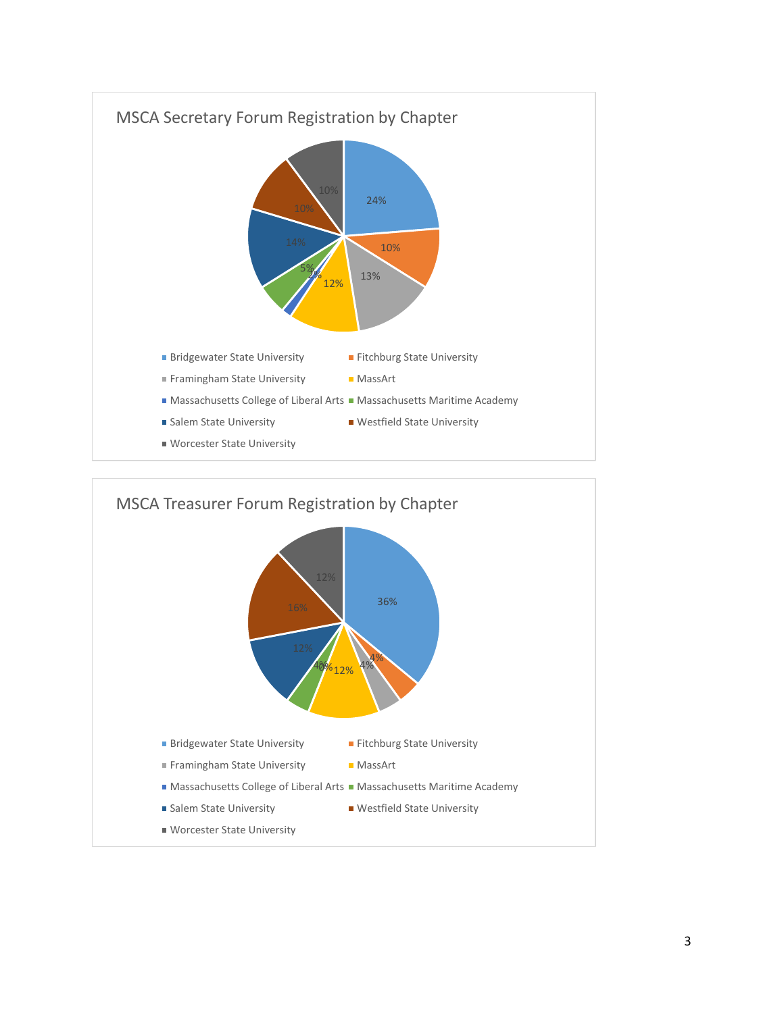

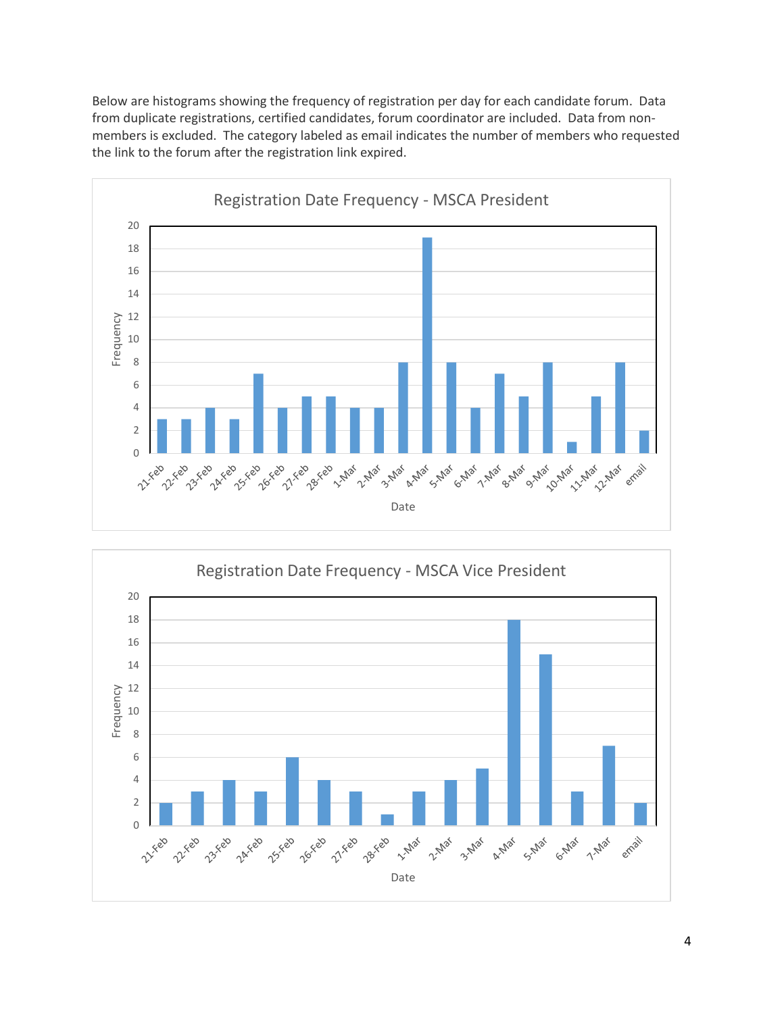Below are histograms showing the frequency of registration per day for each candidate forum. Data from duplicate registrations, certified candidates, forum coordinator are included. Data from nonmembers is excluded. The category labeled as email indicates the number of members who requested the link to the forum after the registration link expired.



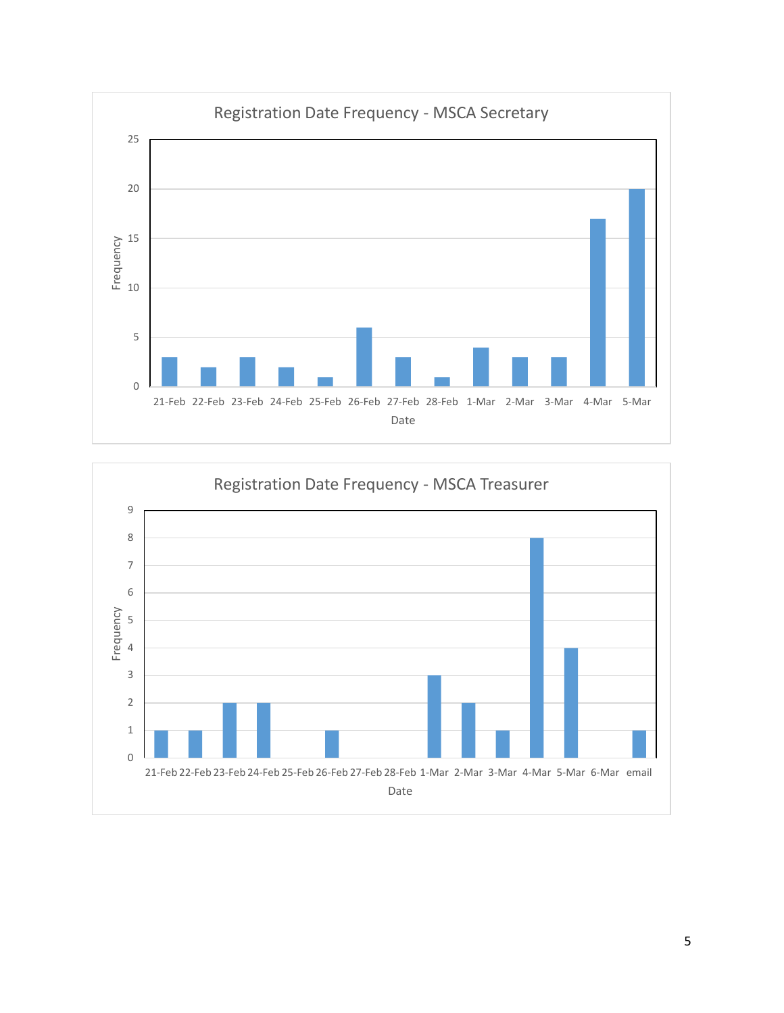

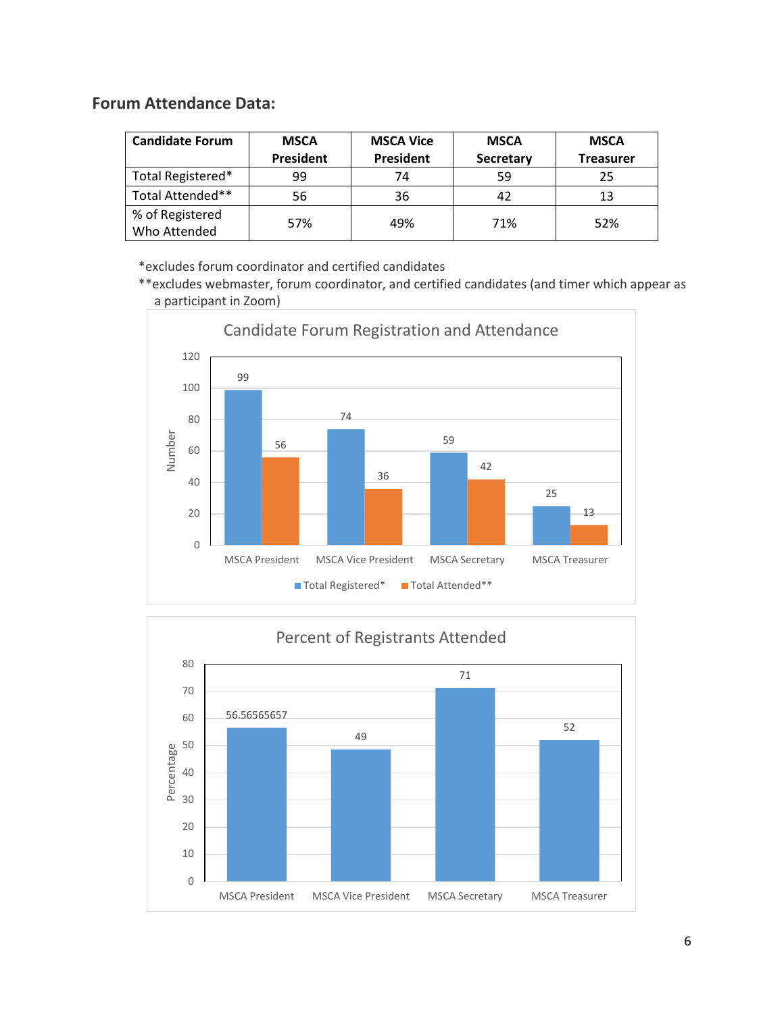# **Forum Attendance Data:**

| <b>Candidate Forum</b> | <b>MSCA</b>      | <b>MSCA Vice</b> |           | <b>MSCA</b>      |  |
|------------------------|------------------|------------------|-----------|------------------|--|
|                        | <b>President</b> | President        | Secretary | <b>Treasurer</b> |  |
| Total Registered*      | 99               | 74               | 59        | 25               |  |
| Total Attended**       | 56               | 36               |           | 13               |  |
| % of Registered        | 57%              | 49%              | 71%       | 52%              |  |
| Who Attended           |                  |                  |           |                  |  |

\*excludes forum coordinator and certified candidates

\*\*excludes webmaster, forum coordinator, and certified candidates (and timer which appear as a participant in Zoom)



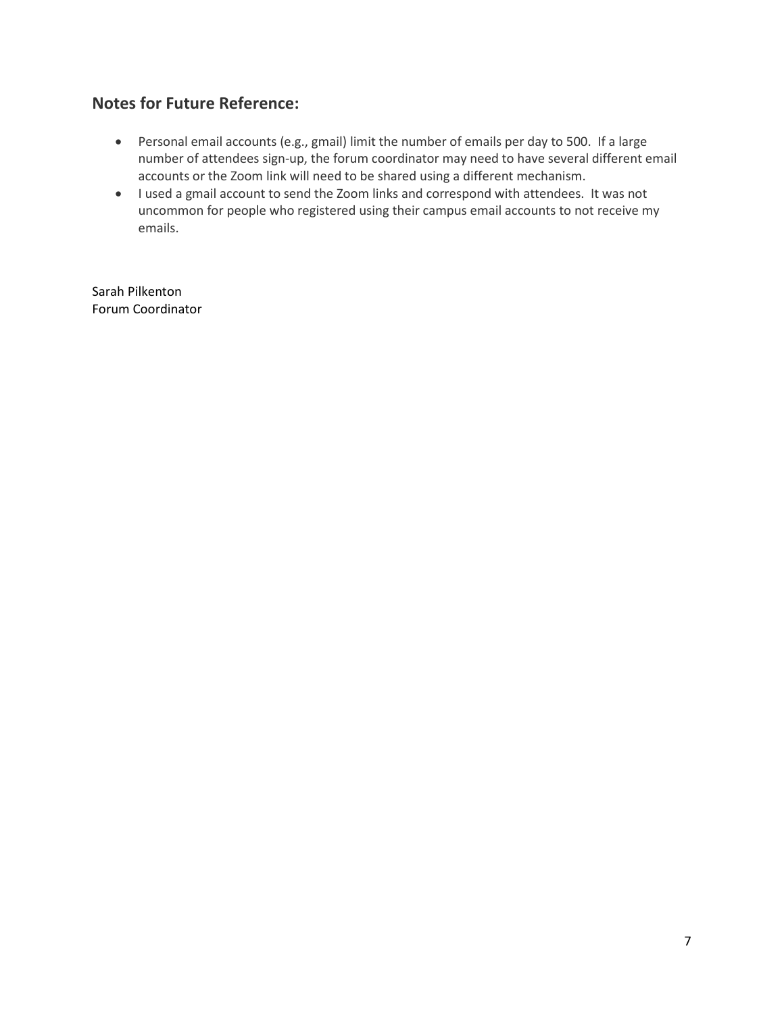# **Notes for Future Reference:**

- Personal email accounts (e.g., gmail) limit the number of emails per day to 500. If a large number of attendees sign-up, the forum coordinator may need to have several different email accounts or the Zoom link will need to be shared using a different mechanism.
- I used a gmail account to send the Zoom links and correspond with attendees. It was not uncommon for people who registered using their campus email accounts to not receive my emails.

Sarah Pilkenton Forum Coordinator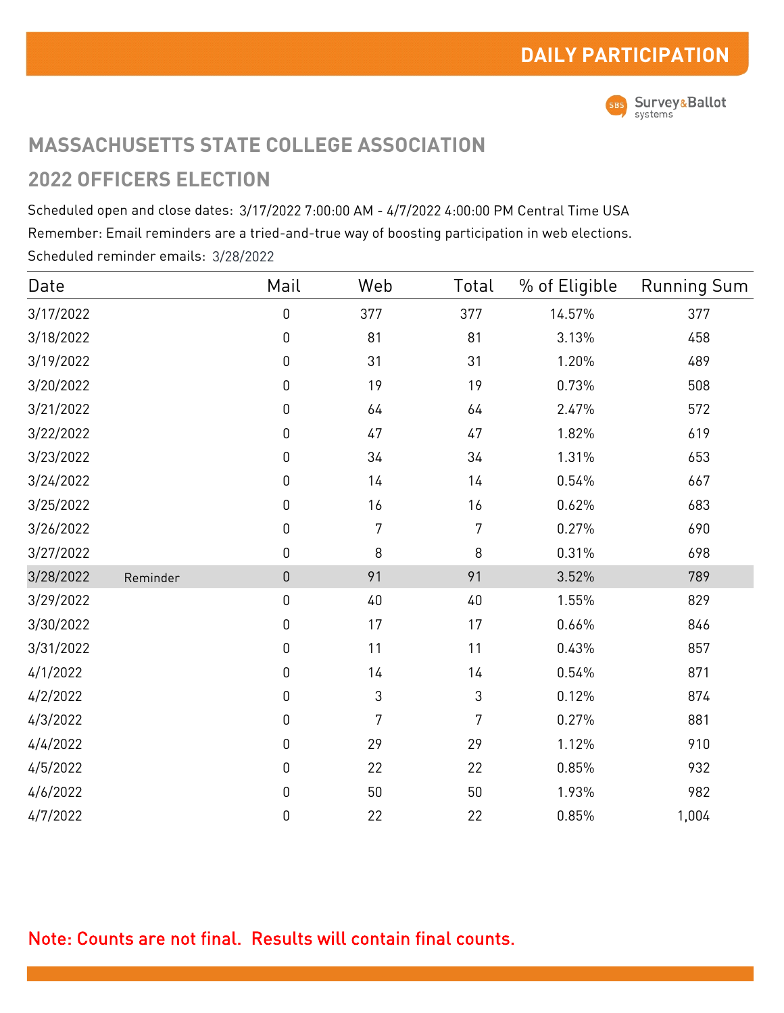

# **MASSACHUSETTS STATE COLLEGE ASSOCIATION 2022 OFFICERS ELECTION**

Scheduled open and close dates: 3/17/2022 7:00:00 AM - 4/7/2022 4:00:00 PM Central Time USA Remember: Email reminders are a tried-and-true way of boosting participation in web elections. Scheduled reminder emails: 3/28/2022

| Date      |          | Mail             | Web    | Total          | % of Eligible | <b>Running Sum</b> |
|-----------|----------|------------------|--------|----------------|---------------|--------------------|
| 3/17/2022 |          | $\boldsymbol{0}$ | 377    | 377            | 14.57%        | 377                |
| 3/18/2022 |          | $\boldsymbol{0}$ | 81     | 81             | 3.13%         | 458                |
| 3/19/2022 |          | $\boldsymbol{0}$ | 31     | 31             | 1.20%         | 489                |
| 3/20/2022 |          | $\boldsymbol{0}$ | 19     | 19             | 0.73%         | 508                |
| 3/21/2022 |          | $\boldsymbol{0}$ | $64$   | $64$           | 2.47%         | 572                |
| 3/22/2022 |          | $\boldsymbol{0}$ | 47     | $47\,$         | 1.82%         | 619                |
| 3/23/2022 |          | $\boldsymbol{0}$ | 34     | 34             | 1.31%         | 653                |
| 3/24/2022 |          | $\boldsymbol{0}$ | 14     | 14             | 0.54%         | 667                |
| 3/25/2022 |          | $\boldsymbol{0}$ | 16     | 16             | 0.62%         | 683                |
| 3/26/2022 |          | $\boldsymbol{0}$ | 7      | 7              | 0.27%         | 690                |
| 3/27/2022 |          | $\boldsymbol{0}$ | 8      | $\,8\,$        | 0.31%         | 698                |
| 3/28/2022 | Reminder | $\overline{0}$   | 91     | 91             | 3.52%         | 789                |
| 3/29/2022 |          | $\boldsymbol{0}$ | 40     | 40             | 1.55%         | 829                |
| 3/30/2022 |          | $\boldsymbol{0}$ | 17     | 17             | 0.66%         | 846                |
| 3/31/2022 |          | $\boldsymbol{0}$ | 11     | 11             | 0.43%         | 857                |
| 4/1/2022  |          | $\boldsymbol{0}$ | 14     | 14             | 0.54%         | 871                |
| 4/2/2022  |          | $\boldsymbol{0}$ | 3      | $\mathfrak{Z}$ | 0.12%         | 874                |
| 4/3/2022  |          | $\boldsymbol{0}$ | 7      | 7              | 0.27%         | 881                |
| 4/4/2022  |          | $\boldsymbol{0}$ | 29     | 29             | 1.12%         | 910                |
| 4/5/2022  |          | $\boldsymbol{0}$ | 22     | 22             | 0.85%         | 932                |
| 4/6/2022  |          | $\boldsymbol{0}$ | $50\,$ | 50             | 1.93%         | 982                |
| 4/7/2022  |          | 0                | 22     | 22             | 0.85%         | 1,004              |

# Note: Counts are not final. Results will contain final counts.